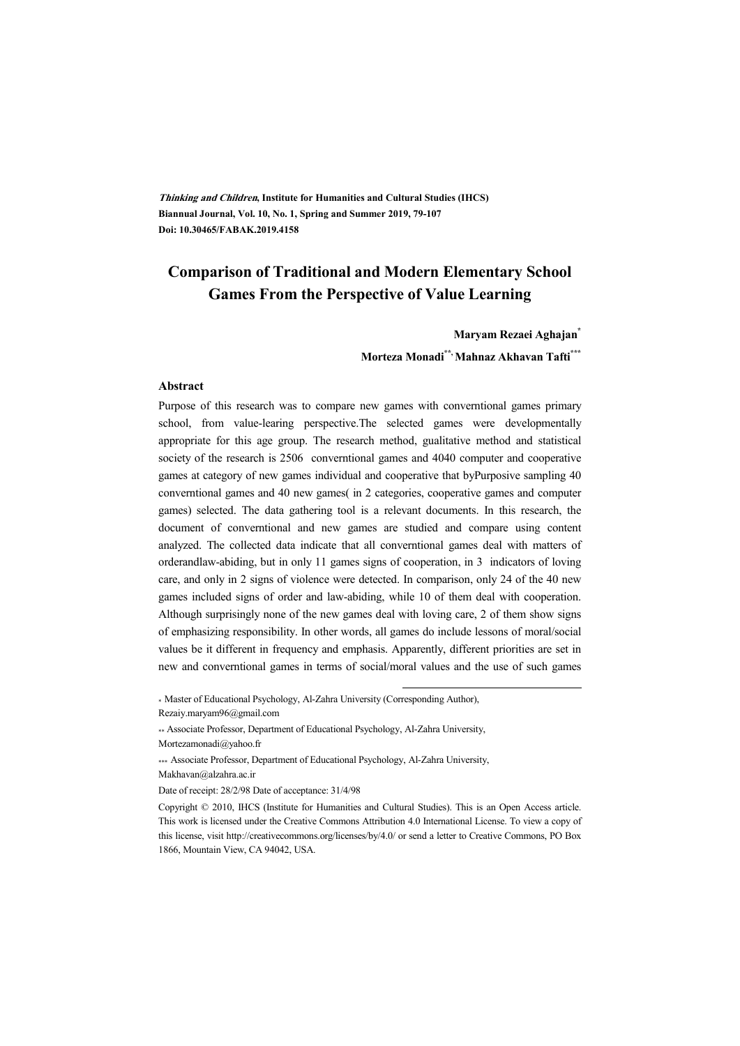**Thinking and Children, Institute for Humanities and Cultural Studies (IHCS) Biannual Journal, Vol. 10, No. 1, Spring and Summer 2019, 79-107 Doi: 10.30465/FABAK.2019.4158** 

## **Comparison of Traditional and Modern Elementary School Games From the Perspective of Value Learning**

**Maryam Rezaei Aghajan\* Morteza Monadi\*\*, Mahnaz Akhavan Tafti\*\*\***

#### **Abstract**

Purpose of this research was to compare new games with converntional games primary school, from value-learing perspective.The selected games were developmentally appropriate for this age group. The research method, gualitative method and statistical society of the research is 2506 converntional games and 4040 computer and cooperative games at category of new games individual and cooperative that byPurposive sampling 40 converntional games and 40 new games( in 2 categories, cooperative games and computer games) selected. The data gathering tool is a relevant documents. In this research, the document of converntional and new games are studied and compare using content analyzed. The collected data indicate that all converntional games deal with matters of orderandlaw-abiding, but in only 11 games signs of cooperation, in 3 indicators of loving care, and only in 2 signs of violence were detected. In comparison, only 24 of the 40 new games included signs of order and law-abiding, while 10 of them deal with cooperation. Although surprisingly none of the new games deal with loving care, 2 of them show signs of emphasizing responsibility. In other words, all games do include lessons of moral/social values be it different in frequency and emphasis. Apparently, different priorities are set in new and converntional games in terms of social/moral values and the use of such games

\* Master of Educational Psychology, Al-Zahra University (Corresponding Author),

Rezaiy.maryam96@gmail.com

Mortezamonadi@yahoo.fr

\*\*\* Associate Professor, Department of Educational Psychology, Al-Zahra University,

Makhavan@alzahra.ac.ir

:

<sup>\*\*</sup> Associate Professor, Department of Educational Psychology, Al-Zahra University,

Date of receipt: 28/2/98 Date of acceptance: 31/4/98

Copyright © 2010, IHCS (Institute for Humanities and Cultural Studies). This is an Open Access article. This work is licensed under the Creative Commons Attribution 4.0 International License. To view a copy of this license, visit http://creativecommons.org/licenses/by/4.0/ or send a letter to Creative Commons, PO Box 1866, Mountain View, CA 94042, USA.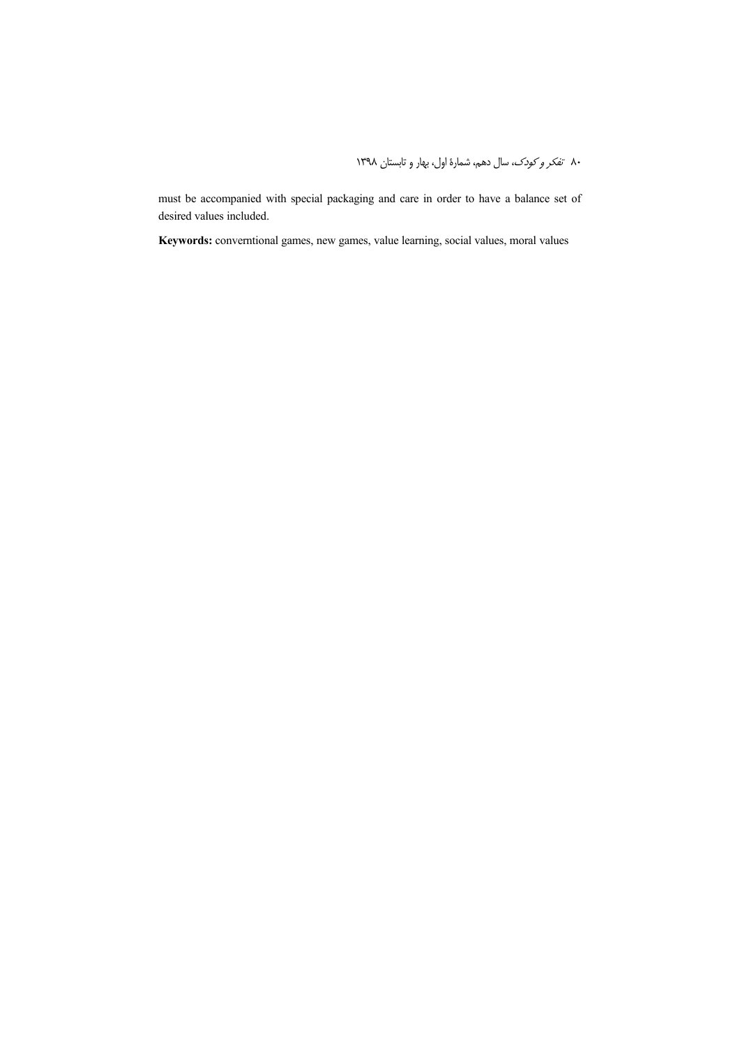must be accompanied with special packaging and care in order to have a balance set of desired values included.

**Keywords:** converntional games, new games, value learning, social values, moral values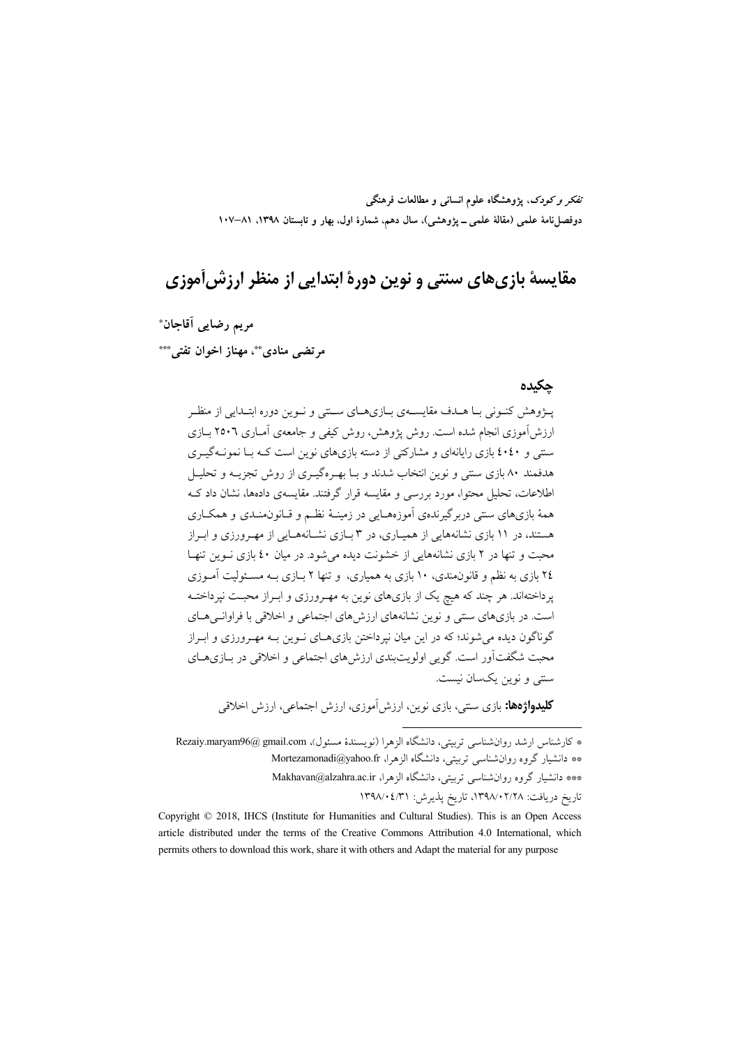تفکر و کودک، یژوهشگاه علوم انسانی و مطالعات فرهنگی دوفصلiامهٔ علمی (مقالهٔ علمی ــ پژوهشی)، سال دهم، شمارهٔ اول، بهار و تابستان ۱۳۹۸، ۸۱–۱۰۷

# مقايسهٔ بازي هاي سنتي و نوين دورهٔ ابتدايي از منظر ارزش آموزي

مريم رضايي أقاجان\*

مرتضی منادی ٌ مهناز اخوان تفتی ٌ ٌ

#### جكيده

پـژوهش کنـوني بـا هــدف مقايســهي بــازيهــاي ســتني و نــوين دوره ابتــدايي از منظـر ارزش آموزی انجام شده است. روش پژوهش، روش کیفی و جامعهی آمباری ۲۵۰۶ بیازی سنتی و ٤٠٤٠ بازی رایانهای و مشارکتی از دسته بازیهای نوین است کـه بـا نمونـهگیـری هدفمند ۸۰ بازی سنتی و نوین انتخاب شدند و بـا بهـرهگیـری از روش تجزیــه و تحلیــل اطلاعات، تحلیل محتوا، مورد بررسی و مقایسه قرار گرفتند. مقایسهی دادهها، نشان داد ک همهٔ بازیهای سنتی دربرگیرندهی آموزههـایی در زمینـهٔ نظـم و قـانون0منـدی و همکـاری هستند، در ۱۱ بازی نشانههایی از همپیاری، در ۳ بیازی نشیانههیایی از مهر ورزی و ابیراز محبت و تنها در ۲ بازی نشانههایی از خشونت دیده می شود. در میان ٤٠ بازی نـوین تنهـا ۲٤ بازی به نظم و قانون.ندی، ۱۰ بازی به همیاری، و تنها ۲ بـازی بـه مسـئولیت آمـوزی پرداختهاند. هر چند که هیچ یک از بازیهای نوین به مهـرورزی و ابـراز محبـت نپرداختـه است. در بازیهای سنتی و نوین نشانههای ارزشهای اجتماعی و اخلاقی با فراوانـیهـای گوناگون دیده می شوند؛ که در این میان نپرداختن بازیهای نوین بـه مهـرورزی و ابـراز محبت شگفتآور است. گویی اولویتبندی ارزش۵ای اجتماعی و اخلاقی در بـازیهـای سنتي و نوين يکسان نيست.

**کلیدواژهها:** بازی سنتی، بازی نوین، ارزش[موزی، ارزش اجتماعی، ارزش اخلاقی

\* كارشناس ارشد روان شناسي ترستي، دانشگاه الزهرا (نويسندۀ مسئول)، Rezaiy.maryam96@ gmail.com \*\* دانشیار گروه روانشناسی تربیتی، دانشگاه الزهرا، Mortezamonadi@yahoo.fr \*\*\* دانشیار گروه روان شناسی تربیتی، دانشگاه الزهرا، Makhavan@alzahra.ac.ir تاريخ دريافت: ١٣٩٨/٠٢/٢٨، تاريخ يذيرش: ١٣٩٨/٠٤/٣١

Copyright © 2018, IHCS (Institute for Humanities and Cultural Studies). This is an Open Access article distributed under the terms of the Creative Commons Attribution 4.0 International, which permits others to download this work, share it with others and Adapt the material for any purpose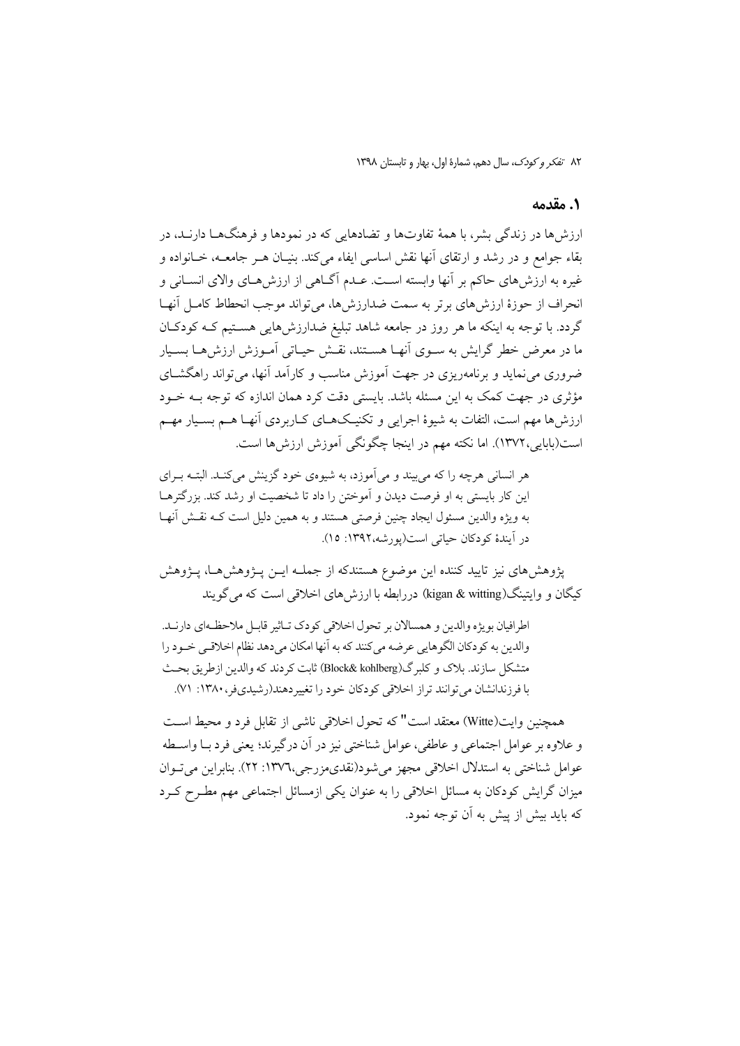#### 1. مقدمه

ارزش ها در زندگی پشر، با همهٔ تفاوتها و تضادهایی که در نمودها و فرهنگهــا دارنــد، در بقاء جوامع و در رشد و ارتقای آنها نقش اساسی ایفاء میکند. بنیـان هــر جامعــه، خــانواده و غیره به ارزش های حاکم بر آنها وابسته است. عبدم آگیاهی از ارزش هیای والای انسیانی و انحراف از حوزهٔ ارزش های برتر به سمت ضدارزش ها، می تواند موجب انحطاط کامـل آنهـا گردد. با توجه به اینکه ما هر روز در جامعه شاهد تبلیغ ضدارزش۵ایی هستیم کـه کودکـان ما در معرض خطر گرایش به سـوی آنهـا هســتند، نقـش حیـاتی اَمـوزش ارزش۵هـا بسـیار ضروری می نماید و برنامهویزی در جهت آموزش مناسب و کارآمد آنها، می تواند راهگشــای مؤثري در جهت كمك به اين مسئله باشد. بايستي دقت كرد همان اندازه كه توجه بــه خــود ارزش ها مهم است، التفات به شیوهٔ اجرایی و تکنیـکهـای کـاربردی آنهـا هــم بسـیار مهــم است(بابایی،۱۳۷۲). اما نکته مهم در اینجا چگونگی آموزش ارزشها است.

هر انسانی هرچه را که میبیند و میآموزد، به شیوهی خود گزینش میکنـد. البتـه بـرای این کار بایستی به او فرصت دیدن و آموختن را داد تا شخصیت او رشد کند. بزرگترهـا به ويژه والدين مسئول ايجاد چنين فرصتي هستند و به همين دليل است كـه نقـش آنهـا در آيندهٔ کودکان حياتي است(يورشه،١٣٩٢: ١٥).

پژوهشهای نیز تایید کننده این موضوع هستندکه از جملــه ایــن پــژوهشهــا، پــژوهش كيگان و وايتينگ(kigan & witting) دررابطه با ارزش هاي اخلاقي است كه مي گويند

اطرافيان بويژه والدين و همسالان بر تحول اخلاقي كودك تاثير قابـل ملاحظـهاي دارنـد. والدين به كودكان الگوهايي عرضه مي كنند كه به آنها امكان مي دهد نظام اخلاقي خـود را متشكل سازند. بلاك و كلبرگ(Block& kohlberg) ثابت كردند كه والدين ازطريق بحث با فرزندانشان می توانند تراز اخلاقی کودکان خود را تغییردهند(رشیدیفر، ۱۳۸۰: ۷۱).

همچنبن وایت(Witte) معتقد است" که تحول اخلاقی ناشی از تقابل فرد و محیط است و علاوه بر عوامل اجتماعي و عاطفي، عوامل شناختي نيز در آن درگيرند؛ يعني فرد بــا واســطه عوامل شناختی به استدلال اخلاقی مجهز می شود(نقدیمزرجی،١٣٧٦: ٢٢). بنابراین می تـوان میزان گرایش کودکان به مسائل اخلاقی را به عنوان یکی ازمسائل اجتماعی مهم مطـرح کـرد که باید بیش از پیش به آن توجه نمود.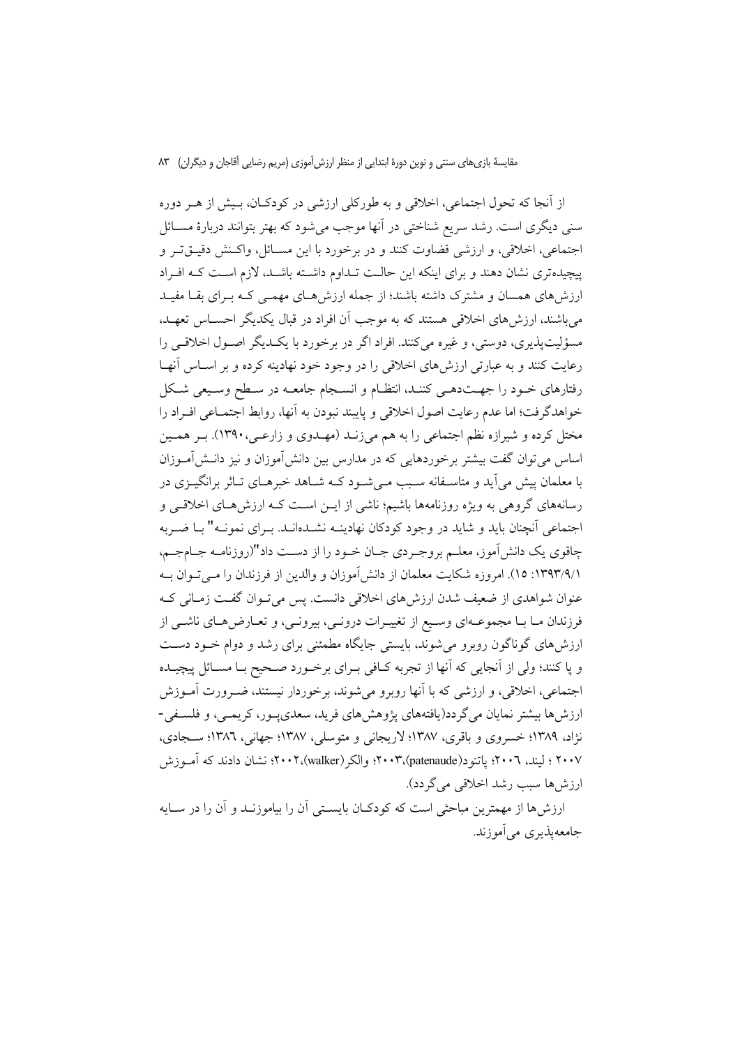مقایسهٔ بازیهای سنتی و نوین دورهٔ ابتدایی از منظر ارزش آموزی (مریم رضایی آقاجان و دیگران) ۸۳

از آنجا که تحول اجتماعی، اخلاقی و به طورکلی ارزشی در کودکـان، بـیش از هــر دوره سنی دیگری است. رشد سریع شناختی در آنها موجب میشود که بهتر بتوانند دربارهٔ مســائل اجتماعي، اخلاقي، و ارزشي قضاوت كنند و در برخورد با اين مســائل، واكـنش دقيــقتـر و پیچیدهتری نشان دهند و برای اینکه این حالـت تـداوم داشـته باشـد، لازم اسـت کـه افـراد ارزش های همسان و مشترک داشته باشند؛ از جمله ارزش هـای مهمـی کـه بـرای بقـا مفیـد می باشند، ارزش های اخلاقی هستند که به موجب آن افراد در قبال یکدیگر احســاس تعهــد، مسؤلیتیذیری، دوستی، و غیره می کنند. افراد اگر در برخورد با یک دیگر اصـول اخلاقـی را رعایت کنند و به عبارتی ارزش های اخلاقی را در وجود خود نهادینه کرده و بر اسـاس أنهـا رفتارهای خـود را جهـتدهـی کننـد، انتظـام و انسـجام جامعــه در سـطح وسـيعی شـكل خواهدگرفت؛ اما عدم رعايت اصول اخلاقي و پايبند نبودن به آنها، روابط اجتمـاعي افـراد را مختل کرده و شیرازه نظم اجتماعی را به هم میزنـد (مهـدوی و زارعـی، ۱۳۹۰). بـر همـین اساس می توان گفت بیشتر برخوردهایی که در مدارس بین دانش آموزان و نیز دانــش آمــوزان با معلمان پیش می آید و متاسـفانه سـبب مـی شـود کــه شــاهد خبرهــای تــاثر برانگیــزی در رسانههای گروهی به ویژه روزنامهها باشیم؛ ناشی از ایــن اسـت کــه ارزش هــای اخلاقــی و اجتماعی أنچنان باید و شاید در وجود کودکان نهادینـه نشـدهانـد. بـرای نمونـه" بـا ضـربه چاقوی یک دانش آموز، معلــم بروجـردی جــان خــود را از دســت داد"(روزنامــه جــامجــم، ۱۳۹۳/۹/۱: ۱۵). امروزه شکایت معلمان از دانش آموزان و والدین از فرزندان را مـی تـوان بـه عنوان شواهدي از ضعيف شدن ارزش هاي اخلاقي دانست. پس ميتوان گفت زمـاني كـه فرزندان مـا بـا مجموعــهاي وســيع از تغييـرات درونــي، بيرونــي، و تعــارضهـاي ناشــي از ارزش های گوناگون روبرو می شوند، بایستی جایگاه مطمئنی برای رشد و دوام خـود دسـت و يا كنند؛ ولي از آنجايي كه أنها از تجربه كـافي بـراي برخــورد صــحيح بــا مســائل پيچيــده اجتماعي، اخلاقي، و ارزشي كه با أنها روبرو مي شوند، برخوردار نيستند، ضـرورت أمـوزش ارزش ها بیشتر نمایان می گر دد(یافتههای پژوهش های فرید، سعدی پـور، کریمـی، و فلسـفی-نژاد، ۱۳۸۹؛ خسروي و باقري، ۱۳۸۷؛ لاريجاني و متوسلي، ۱۳۸۷؛ جهاني، ۱۳۸٦؛ سـجادي، ۲۰۰۷ ؛ لیند، ۲۰۰٦؛ یاتنود(patenaude)،۲۰۰۳؛ والکر (walker)،۲۰۰۲؛ نشان دادند که آمــوزش ارزش ها سبب رشد اخلاقی می گردد).

ارزش ها از مهمترین مباحثی است که کودکـان بایســتی آن را بیاموزنــد و آن را در ســایه جامعهيذيوي مي آموزند.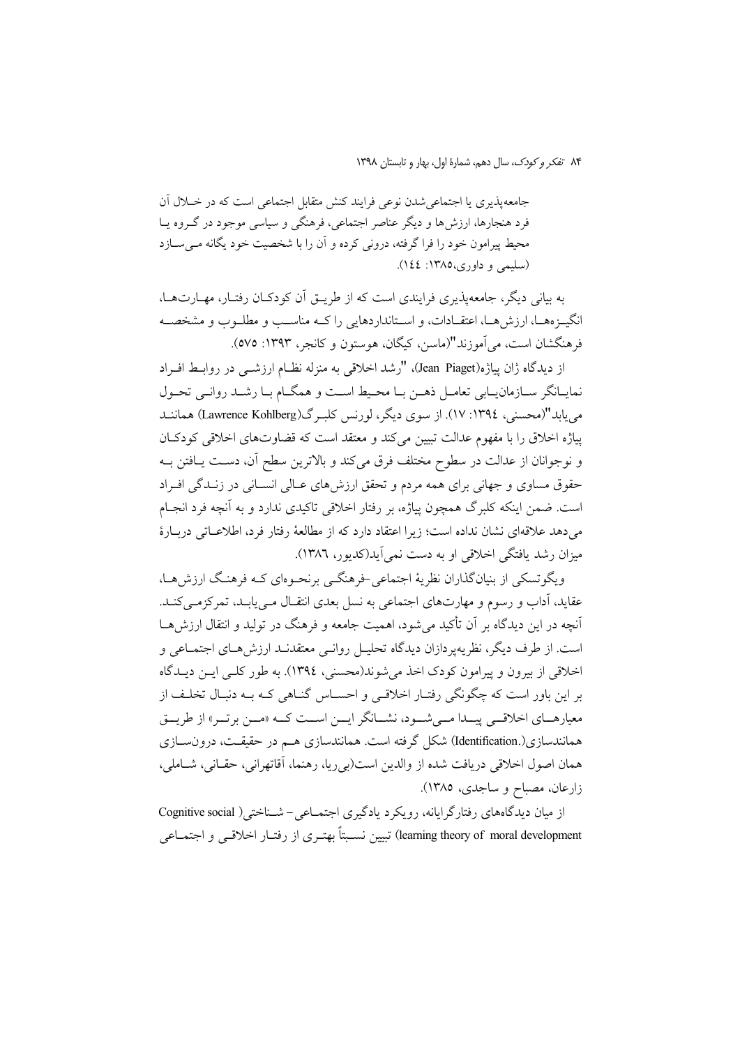جامعه پذیری یا اجتماعی شدن نوعی فرایند کنش متقابل اجتماعی است که در خــلال آن فرد هنجارها، ارزشها و دیگر عناصر اجتماعی، فرهنگی و سیاسی موجود در گـروه یـا محیط پیرامون خود را فرا گرفته، درونی کرده و آن را با شخصیت خود یگانه مـیسـازد (سليمي و داوري،١٣٨٥: ١٤٤).

به بیانی دیگر، جامعهپذیری فرایندی است که از طریــق آن کودکــان رفتــار، مهــارتهــا، انگسزههـا، ارزش هـا، اعتقــادات، و اســتانداردهایی را کــه مناســب و مطلــوب و مشخصــه فرهنگشان است، مي آموزند"(ماسن، کيگان، هوستون و کانجر، ١٣٩٣: ٥٧٥).

از دیدگاه ژان پیاژه(Jean Piaget)، "رشد اخلاقی به منزله نظـام ارزشــی در روابـط افــراد نمایـانگر سـازمانیـابی تعامـل ذهـن بـا محـیط اسـت و همگـام بـا رشـد روانـی تحـول می یابد"(محسنی، ١٣٩٤: ١٧). از سوی دیگر، لورنس کلبہ گ(Lawrence Kohlberg) هماننــد پیاژه اخلاق را با مفهوم عدالت تبیین می کند و معتقد است که قضاوتهای اخلاقی کودکان و نوجوانان از عدالت در سطوح مختلف فرق می کند و بالاترین سطح آن، دست پـافتن بـه حقوق مساوی و جهانی برای همه مردم و تحقق ارزش های عـالی انســانی در زنــدگی افــراد است. ضمن اینکه کلبرگ همچون پیاژه، بر رفتار اخلاقی تاکیدی ندارد و به آنچه فرد انجـام مى دهد علاقهاى نشان نداده است؛ زيرا اعتقاد دارد كه از مطالعهٔ رفتار فرد، اطلاعــاتى دربــارهٔ میزان رشد بافتگی اخلاقی او به دست نمی آبد(کدیور، ۱۳۸۲).

ویگوتسکی از بنیانگذاران نظریهٔ اجتماعی خرهنگبی برنحـوهای کـه فرهنـگ ارزش هـا، عقاید، آداب و رسوم و مهارتهای اجتماعی به نسل بعدی انتقـال مـی یابـد، تمرکزمـی کنـد. آنچه در این دیدگاه بر آن تأکید می شود، اهمیت جامعه و فرهنگ در تولید و انتقال ارزش هــا است. از طرف دیگر، نظریهپردازان دیدگاه تحلیـل روانـی معتقدنـد ارزش۵حـای اجتمــاعی و اخلاقي از بيرون و پيرامون كودك اخذ مي شوند(محسني، ١٣٩٤). به طور كلـي ايــن ديــدگاه بر این باور است که چگونگی رفتـار اخلاقـی و احسـاس گنـاهی کـه بـه دنبـال تخلـف از معیارهــای اخلاقــی پیــدا مــیشــود، نشــانگر ایــن اســت کــه «مــن برتــر» از طریــق همانندسازی(.Identification) شکل گرفته است. همانندسازی هــم در حقیقــت، درونٍســازی همان اصول اخلاقي دريافت شده از والدين است(بي ريا، رهنما، أقاتهراني، حقـاني، شــاملي، زارعان، مصباح و ساجدي، ١٣٨٥).

از میان دیدگاههای رفتارگرایانه، رویکرد یادگیری اجتمـاعی- شـناختی( Cognitive social learning theory of moral development) تبيين نسـبتاً بهتـري از رفتـار اخلاقـي و اجتمـاعي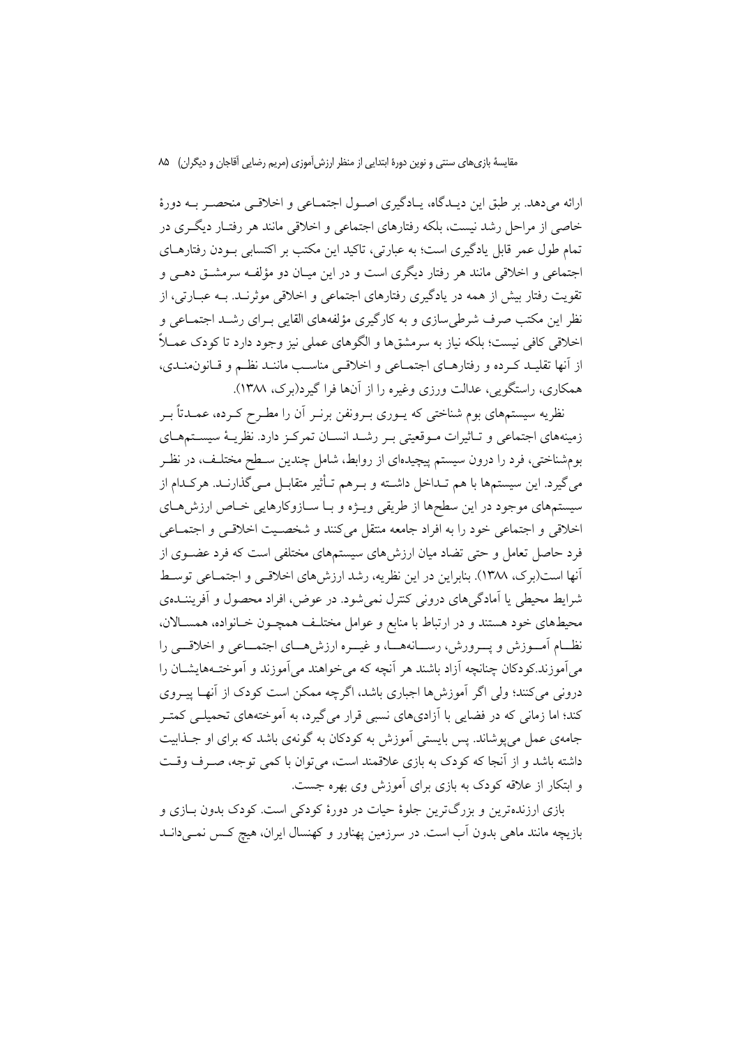مقايسهٔ بازي هاي سنتي و نوين دورهٔ ابتدايي از منظر ارزش آموزي (مريم رضايي آقاجان و ديگران) ۸۵

ارائه می دهد. بر طبق این دیـدگاه، یـادگیری اصـول اجتمـاعی و اخلاقـی منحصـر بـه دورهٔ خاصی از مراحل رشد نیست، بلکه رفتارهای اجتماعی و اخلاقی مانند هر رفتـار دیگـری در تمام طول عمر قابل یادگیری است؛ به عبارتی، تاکید این مکتب بر اکتسابی بـودن رفتارهـای اجتماعی و اخلاقی مانند هر رفتار دیگری است و در این میـان دو مؤلفـه سرمشــق دهــی و تقويت رفتار بيش از همه در يادگيري رفتارهاي اجتماعي و اخلاقي موثرنــد. بــه عبــارتي، از نظر این مکتب صرف شرطی سازی و به کارگیری مؤلفههای القایی بـرای رشــد اجتمــاعی و اخلاقی کافی نیست؛ بلکه نیاز به سرمشقها و الگوهای عملی نیز وجود دارد تا کودک عمــلاً از أنها تقليـد كـرده و رفتارهـاي اجتمـاعي و اخلاقـي مناسـب ماننـد نظـم و قـانون&نـدي، همکاری، راستگویی، عدالت ورزی وغیره را از آنها فرا گیرد(برک، ۱۳۸۸).

نظریه سیستمهای بوم شناختی که یــوری بــرونفن برنــر آن را مطــرح کــرده، عمــدتاً بــر زمینههای اجتماعی و تـاثیرات مـوقعیتی بـر رشـد انسـان تمرکـز دارد. نظریــهٔ سیســتمهــای بومشناختی، فرد را درون سیستم پیچیدهای از روابط، شامل چندین سـطح مختلـف، در نظـر می گیرد. این سیستمها با هم تـداخل داشـته و بـرهم تـأثیر متقابـل مـی گذارنـد. هرکـدام از سیستمهای موجود در این سطحها از طریقی ویـژه و بـا سـازوکارهایی خـاص ارزش،حای اخلاقی و اجتماعی خود را به افراد جامعه منتقل میکنند و شخصیت اخلاقی و اجتمـاعی فرد حاصل تعامل و حتی تضاد میان ارزش های سیستمهای مختلفی است که فرد عضـوی از أنها است(برک، ۱۳۸۸). بنابراین در این نظریه، رشد ارزشهای اخلاقـی و اجتمـاعی توسـط شرایط محیطی یا آمادگیهای درونی کنترل نمی شود. در عوض، افراد محصول و آفریننــدهی محیطهای خود هستند و در ارتباط با منابع و عوامل مختلـف همچـون خـانواده، همسـالان. نظــام أمــوزش و يـــرورش، رســانههـــا، و غيـــره ارزش هـــاي اجتمــاعي و اخلاقـــي را می اَموزند کودکان چنانچه اَزاد باشند هر اَنچه که می خواهند می اَموزند و اَموختـههایشــان را درونی میکنند؛ ولی اگر آموزش،ا اجباری باشد، اگرچه ممکن است کودک از آنهـا پیــروی کند؛ اما زمانی که در فضایی با آزادیهای نسبی قرار میگیرد، به آموختههای تحمیلـی کمتـر جامهی عمل می پوشاند. پس بایستی آموزش به کودکان به گونهی باشد که برای او جـذابیت داشته باشد و از آنجا که کودک به بازی علاقمند است، می توان با کمی توجه، صـرف وقـت و ابتکار از علاقه کودک به بازی برای آموزش وی بهره جست.

بازی ارزندهترین و بزرگترین جلوهٔ حیات در دورهٔ کودکی است. کودک بدون بـازی و بازیچه مانند ماهی بدون آب است. در سرزمین پهناور و کهنسال ایران، هیچ کـس نمـی۱دانـد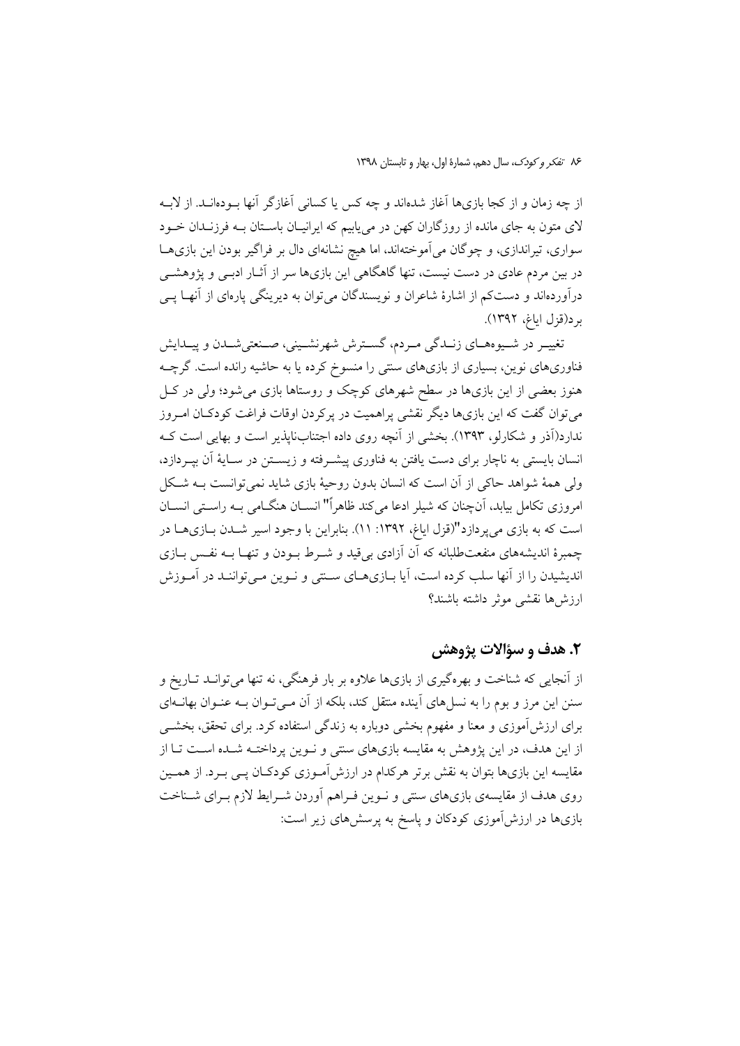از چه زمان و از كجا بازىها آغاز شدهاند و چه كس يا كسانى آغازگر آنها بــودهانــد. از لابــه لای متون به جای مانده از روزگاران کهن در مییابیم که ایرانیـان باسـتان بــه فرزنــدان خــود سواری، تیراندازی، و چوگان میآموختهاند، اما هیچ نشانهای دال بر فراگیر بودن این بازیهـا در بین مردم عادی در دست نیست، تنها گاهگاهی این بازیها سر از آثــار ادبــی و پژوهشــی درآوردهاند و دستکم از اشارهٔ شاعران و نویسندگان می توان به دیرینگی پارهای از آنهـا پــی بر د(قزل اياغ، ١٣٩٢).

تغییر در شیوههای زنـدگی مـردم، گسـترش شهرنشـینی، صـنعتیشـدن و پیـدایش فناوریهای نوین، بسیاری از بازیهای سنتی را منسوخ کرده یا به حاشیه رانده است. گرچــه هنوز بعضی از این بازیها در سطح شهرهای کوچک و روستاها بازی می شود؛ ولی در کـل می توان گفت که این بازیها دیگر نقشی پراهمیت در پرکردن اوقات فراغت کودکـان امـروز ندارد(اَذر و شکارلو، ۱۳۹۳). بخشی از اَنچه روی داده اجتنابنایذیر است و بهایی است کـه انسان بایستی به ناچار برای دست یافتن به فناوری پیشـرفته و زیسـتن در سـایهٔ آن بپـردازد، ولي همهٔ شواهد حاکي از آن است که انسان بدون روحيهٔ بازي شايد نمي توانست بــه شـکل امروزی تکامل بیابد، آنچنان که شیلر ادعا میکند ظاهراً" انســان هنگــامی بــه راسـتی انســان است که به بازی میپردازد"(قزل ایاغ، ۱۳۹۲: ۱۱). بنابراین با وجود اسیر شـدن بـازیهـا در چمبرهٔ اندیشههای منفعتطلبانه که آن آزادی بی قید و شـرط بـودن و تنهـا بـه نفـس بـازی اندیشیدن را از آنها سلب کرده است، آیا بـازیهـای سـنتی و نـوین مـی تواننـد در آمـوزش ارزش ها نقشب موثر داشته باشند؟

### ٢. هدف و سؤالات يژوهشي

از اّنجایی که شناخت و بهرهگیری از بازیها علاوه بر بار فرهنگی، نه تنها می توانــد تــاریخ و سنن این مرز و بوم را به نسل های آینده منتقل کند، بلکه از آن مـی تـوان بـه عنـوان بهانــهای برای ارزش آموزی و معنا و مفهوم بخشی دوباره به زندگی استفاده کرد. برای تحقق، بخشــی از این هدف، در این پژوهش به مقایسه بازیهای سنتی و نـوین پرداختـه شـده اسـت تـا از مقایسه این بازیها بتوان به نقش برتر هرکدام در ارزش[مـوزی کودکـان پـی بـرد. از همـین روی هدف از مقایسهی بازیهای سنتی و نـوین فـراهم آوردن شـرایط لازم بـرای شـناخت بازیها در ارزشآموزی کودکان و پاسخ به پرسشهای زیر است: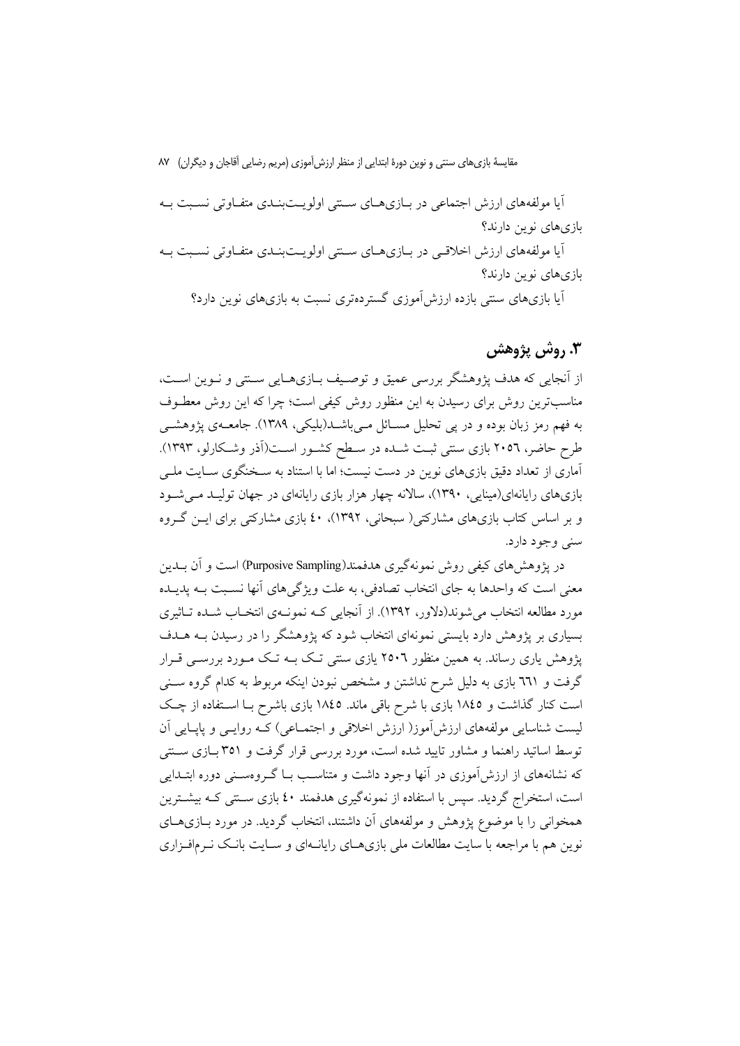مقایسهٔ بازیهای سنتی و نوین دورهٔ ابتدایی از منظر ارزش آموزی (مریم رضایی آقاجان و دیگران) ۸۷

اًیا مولفههای ارزش اجتماعی در بـازیهـای سـنتی اولویـتبنـدی متفـاوتی نسـبت بـه بازی های نوین دارند؟ اًیا مولفههای ارزش اخلاقبی در بـازیهـای سـنتی اولویـتبنـدی متفـاوتی نسـبت بـه بازی های نوین دارند؟ آیا بازیهای سنتی بازده ارزش آموزی گستردهتری نسبت به بازیهای نوین دارد؟

## **۳. روش پژوهش**

از اَنجایی که هدف پژوهشگر بررسی عمیق و توصیف بـازیهـایی سـنتی و نـوین اسـت، مناسبترین روش برای رسیدن به این منظور روش کیفی است؛ چرا که این روش معطـوف به فهم رمز زبان بوده و در پی تحلیل مســائل مــی۱شــد(بلیکی، ۱۳۸۹). جامعــهی یژوهشــی طرح حاضر، ۲۰۵٦ بازی سنتی ثبت شـده در سـطح کشـور اسـت(اَذر وشـکارلو، ۱۳۹۳). آماری از تعداد دقیق بازیهای نوین در دست نیست؛ اما با استناد به سـخنگوی سـایت ملـی بازیهای رایانهای(مینایی، ۱۳۹۰)، سالانه چهار هزار بازی رایانهای در جهان تولیـد مـی شـود و بر اساس کتاب بازیهای مشارکتی( سبحانی، ۱۳۹۲)، ٤٠ بازی مشارکتی برای ایــن گــروه سني وجود دارد.

در یژوهش های کیفی روش نمونهگیری هدفمند(Purposive Sampling) است و آن بــدین معنی است که واحدها به جای انتخاب تصادفی، به علت ویژگیهای آنها نسـبت بــه پدیــده مورد مطالعه انتخاب میشوند(دلاور، ۱۳۹۲). از آنجایی کـه نمونـهی انتخـاب شـده تـاثیری بسیاری بر پژوهش دارد بایستی نمونهای انتخاب شود که پژوهشگر را در رسیدن بــه هــدف یژوهش یاری رساند. به همین منظور ۲۵۰٦ یازی سنتی تـک بــه تـک مــورد بررســی قــرار گرفت و ٦٦١ بازی به دلیل شرح نداشتن و مشخص نبودن اینکه مربوط به کدام گروه سـنی است کنار گذاشت و ۱۸٤٥ بازی با شرح باقی ماند. ۱۸٤٥ بازی باشرح بــا اسـتفاده از چـک لیست شناسایی مولفههای ارزش[موز( ارزش اخلاقی و اجتمـاعی) کـه روایــی و پاپــایی آن توسط اساتید راهنما و مشاور تایید شده است، مورد بررسی قرار گرفت و ۳۵۱ بـازی سـنتی که نشانههای از ارزشآموزی در آنها وجود داشت و متناسب بــا گــروهســنی دوره ابتــدایی است، استخراج گردید. سپس با استفاده از نمونهگیری هدفمند ٤٠ بازی سـنتی کـه بیشـترین همخوانی را با موضوع پژوهش و مولفههای أن داشتند، انتخاب گردید. در مورد بـازیهـای نوین هم با مراجعه با سایت مطالعات ملی بازیهـای رایانــهای و ســایت بانـک نــرمافـزاری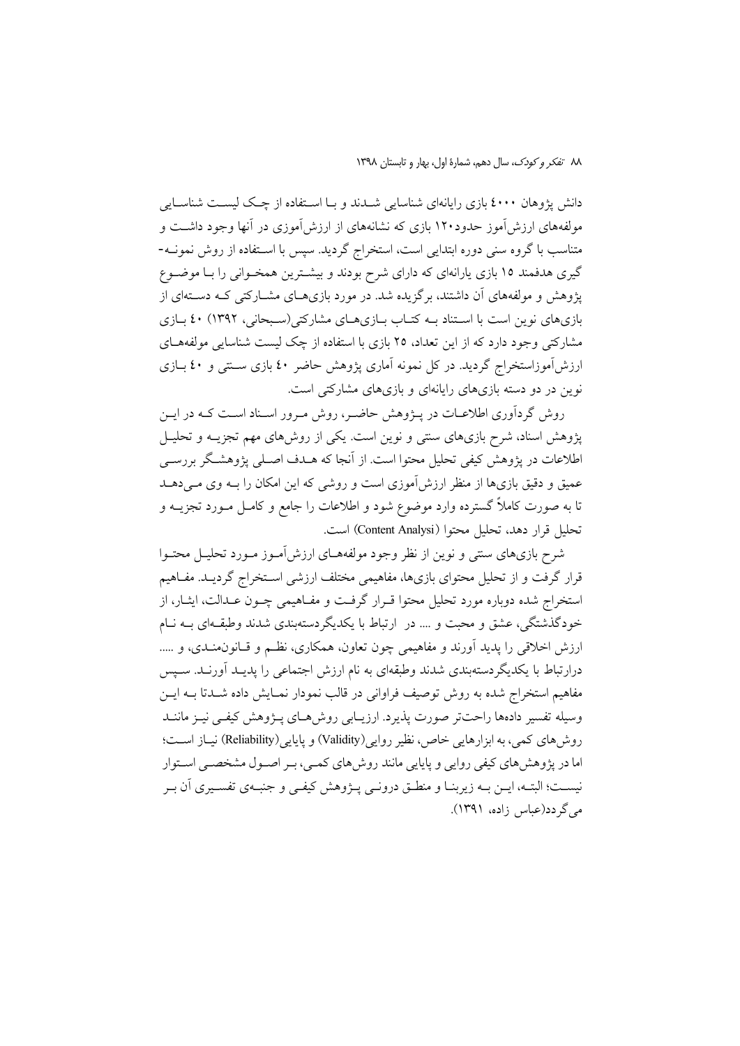٨٨ تفكر وكودك، سال دهم، شمارة اول، بهار و تابستان ١٣٩٨

دانش پژوهان ٤٠٠٠ بازي رايانهاي شناسايي شــدند و بــا اســتفاده از چــک ليســت شناســايي مولفههای ارزش آموز حدود۱۲۰ بازی که نشانههای از ارزش آموزی در آنها وجود داشت و متناسب با گروه سنی دوره ابتدایی است، استخراج گردید. سپس با استفاده از روش نمونـه-گیری هدفمند ۱۵ بازی پارانهای که دارای شرح بودند و بیشترین همخـوانی را بـا موضـوع یژوهش و مولفههای آن داشتند، برگزیده شد. در مورد بازیهـای مشــارکتی کـه دســتهای از بازیهای نوین است با استناد بـه کتـاب بـازیهـای مشارکتی(سـبحانی، ۱۳۹۲) ٤٠ بـازی مشارکتی وجود دارد که از این تعداد، ۲۵ بازی با استفاده از چک لیست شناسایی مولفههـای ارزشآموزاستخراج گردید. در کل نمونه آماری پژوهش حاضر ٤٠ بازی سـنتی و ٤٠ بــازی نوین در دو دسته بازیهای رایانهای و بازیهای مشارکتی است.

روش گردآوری اطلاعـات در پــژوهش حاضـر، روش مـرور اسـناد اسـت کــه در ايــن پژوهش اسناد، شرح بازیهای سنتی و نوین است. یکی از روشهای مهم تجزیــه و تحلیــل اطلاعات در پژوهش کیفی تحلیل محتوا است. از آنجا که هــدف اصــلی پژوهشــگر بررســی عمیق و دقیق بازیها از منظر ارزش[موزی است و روشی که این امکان را بـه وی مـیدهــد تا به صورت کاملاً گسترده وارد موضوع شود و اطلاعات را جامع و کامـل مــورد تجزیـــه و تحليل قرار دهد، تحليل محتوا (Content Analysi) است.

شرح بازیهای سنتی و نوین از نظر وجود مولفههـای ارزش[مـوز مـورد تحليـل محتـوا قرار گرفت و از تحلیل محتوای بازیها، مفاهیمی مختلف ارزشی اسـتخراج گردیــد. مفــاهیم استخراج شده دوباره مورد تحلیل محتوا قـرار گرفـت و مفـاهیمی چـون عـدالت، ایشـار، از خودگذشتگی، عشق و محبت و …. در ارتباط با یکدیگردستهبندی شدند وطبقهای بـه نـام ارزش اخلاقی را پدید آورند و مفاهیمی چون تعاون، همکاری، نظـم و قـانون0منـدی، و ..... درارتباط با یکدیگردستهبندی شدند وطبقهای به نام ارزش اجتماعی را پدیـد آورنـد. سـپس مفاهیم استخراج شده به روش توصیف فراوانی در قالب نمودار نمـایش داده شــدتا بــه ایــن وسیله تفسیر دادهها راحتتر صورت پذیرد. ارزیـابی روش هـای پـژوهش کیفـی نیـز ماننـد روش های کمی، به ابزارهایی خاص، نظیر روایی(Validity) و پایایی(Reliability) نیـاز اسـت؛ اما در پژوهشهای کیفی روایی و پایایی مانند روشهای کمـی، بـر اصـول مشخصـی اسـتوار نيســت؛ البتــه، ايــن بــه زيربنــا و منطــق درونــي پـــژوهش كيفــي و جنبــهي تفســيري آن بــر مے گے دد(عباس زادہ، ۱۳۹۱).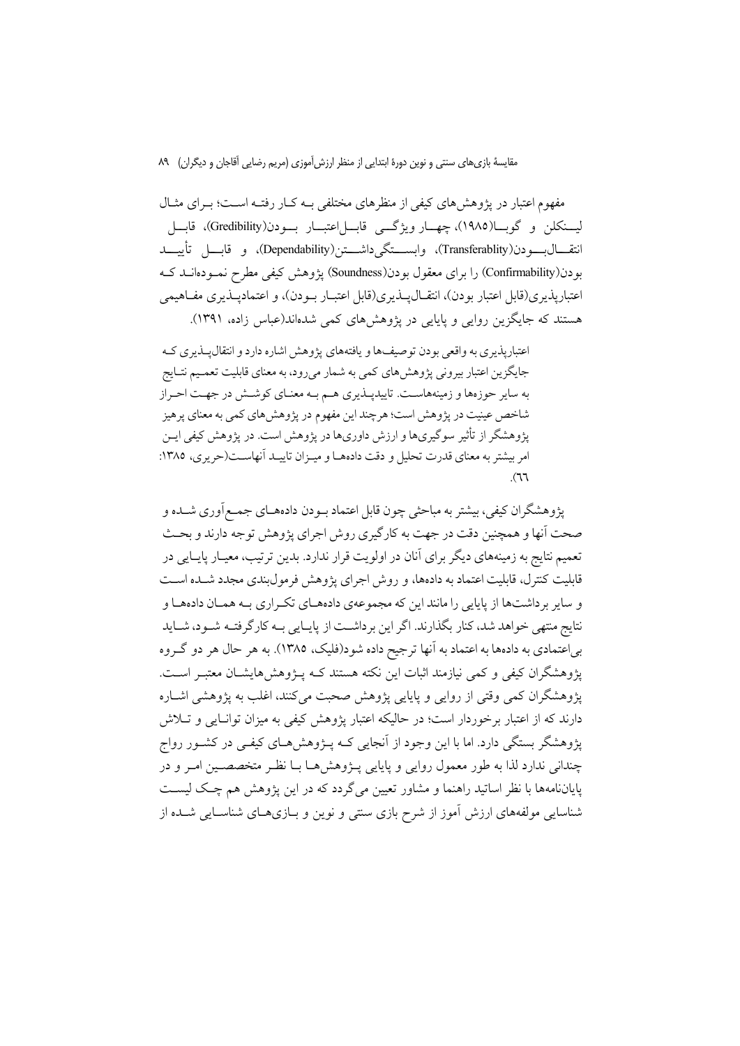مقايسهٔ بازي هاي سنتي و نوين دورهٔ ابتدايي از منظر ارزش آموزي (مريم رضايي آقاجان و ديگران) ۸۹

مفهوم اعتبار در یژوهش های کیفی از منظرهای مختلفی بـه کـار رفتـه اسـت؛ بـرای مثـال ليــنكلن و گوبـــا(١٩٨٥)، چهـــار ويژگـــي قابـــل|عتبـــار بـــودن(Gredibility)، قابـــل انتقــــال(بـــــودن(Transferablity)، وابســــتگي(Dependability)، و قابــــل تأييــــد بودن(Confirmability) را برای معقول بودن(Soundness) یژوهش کیفی مطرح نمـودهانــد کــه اعتباريذيري(قابل اعتبار بودن)، انتقــال1يــذيري(قابل اعتبــار بــودن)، و اعتماديــذيري مفــاهيمي هستند که جایگزین روایی و پایایی در پژوهش های کمی شدهاند(عباس زاده، ۱۳۹۱).

اعتباریذیری به واقعی بودن توصیفها و یافتههای پژوهش اشاره دارد و انتقال پذیری ک جایگزین اعتبار بیرونی پژوهش های کمی به شمار می رود، به معنای قابلیت تعمیم نتـایج به سایر حوزهها و زمینههاست. تاییدیـذیری هـم بـه معنـای کوشـش در جهـت احـراز شاخص عینیت در پژوهش است؛ هرچند این مفهوم در پژوهش های کمی به معنای پرهیز یژوهشگر از تأثیر سوگیریها و ارزش داوریها در یژوهش است. در یژوهش کیفی ایــن امر بیشتر به معنای قدرت تحلیل و دقت دادههـا و میـزان تاییـد آنهاســت(حریری، ۱۳۸۵:  $(77)$ 

يژوهشگران كيفي، بيشتر به مباحثي چون قابل اعتماد بـودن دادههـاي جمـع|َوري شــده و صحت اّنها و همچنین دقت در جهت به کارگیری روش اجرای پژوهش توجه دارند و بحـث تعمیم نتایج به زمینههای دیگر برای آنان در اولویت قرار ندارد. بدین ترتیب، معیـار پایـایی در قابلیت کنترل، قابلیت اعتماد به دادهها، و روش اجرای یژوهش فرمول بندی مجدد شـده اسـت و سایر برداشتها از پایایی را مانند این که مجموعهی دادههای تکراری بـه همـان دادههـا و نتايج منتهي خواهد شد، كنار بگذارند. اگر اين برداشـت از پايـايي بــه كارگرفتــه شــود، شــايد بر اعتمادي به دادهها به اعتماد به آنها ترجيح داده شود(فليک، ١٣٨٥). به هر حال هر دو گـروه یژوهشگران کیفی و کمی نیازمند اثبات این نکته هستند کـه پـژوهش۵هایشـان معتبـر اسـت. يژوهشگران كمي وقتي از روايي و پايايي پژوهش صحبت ميكنند، اغلب به پژوهشي اشــاره دارند که از اعتبار برخوردار است؛ در حالیکه اعتبار پژوهش کیفی به میزان توانـایی و تــلاش یژوهشگر بستگی دارد. اما با این وجود از آنجایی کـه پــژوهشهــای کیفــی در کشــور رواج چندانی ندارد لذا به طور معمول روایی و پایایی پـژوهشهـا بـا نظـر متخصصـین امـر و در پایاننامهها با نظر اساتید راهنما و مشاور تعیین میگردد که در این پژوهش هم چک لیست شناسایی مولفههای ارزش آموز از شرح بازی سنتی و نوین و بـازیهـای شناسـایی شــده از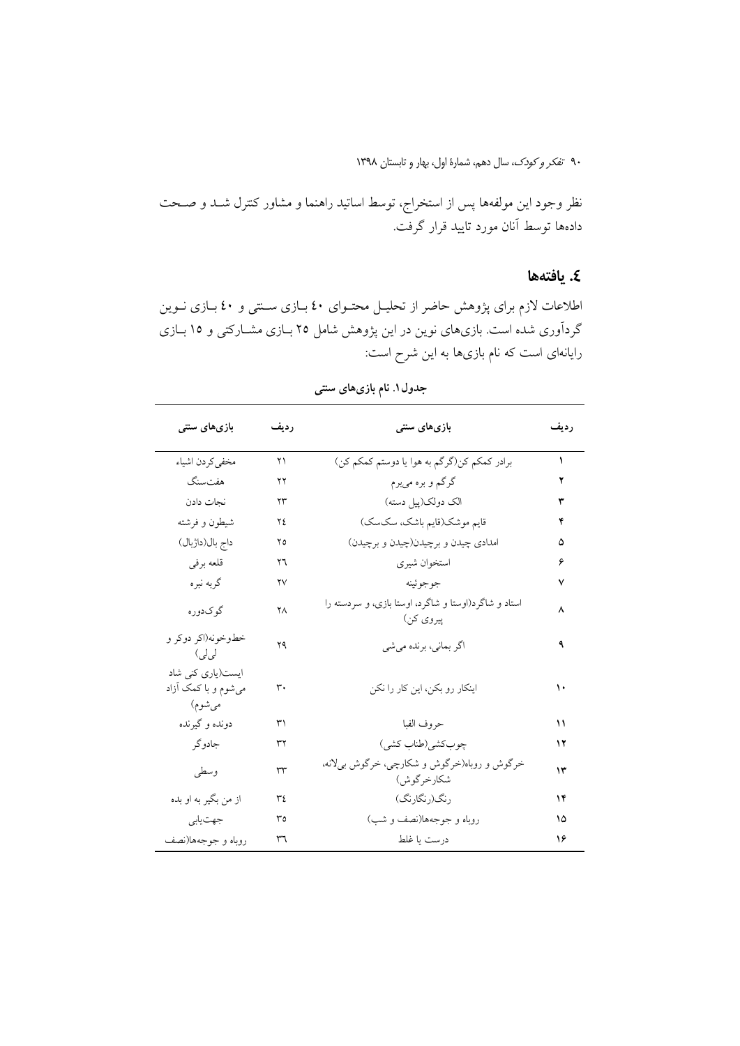نظر وجود این مولفهها پس از استخراج، توسط اساتید راهنما و مشاور کنترل شــد و صــحت دادهها توسط آنان مورد تایید قرار گرفت.

### ٤. يافتهها

اطلاعات لازم برای پژوهش حاضر از تحلیـل محتـوای ٤٠ بـازی سـنتی و ٤٠ بـازی نـوین گردآوری شده است. بازیهای نوین در این پژوهش شامل ۲۵ بــازی مشــارکتی و ۱۵ بــازی رایانهای است که نام بازیها به این شرح است:

| بازیهای سنتی                                       | رديف               | بازیهای سنتی                                                      | رديف |
|----------------------------------------------------|--------------------|-------------------------------------------------------------------|------|
| مخفى كردن اشياء                                    | ۲۱                 | برادر كمكم كن(گرگم به هوا يا دوستم كمكم كن)                       | ١    |
| هفتسنگ                                             | ۲۲                 | گرگم و بره ميبرم                                                  | ۲    |
| نجات دادن                                          | $\Upsilon\Upsilon$ | الک دولک(پیل دسته)                                                | ٣    |
| شيطون و فرشته                                      | ٢٤                 | قايم موشك(قايم باشك، سكسك)                                        | ۴    |
| داج بال(داژبال)                                    | ۲٥                 | امدادي چيدن و برچيدن(چيدن و برچيدن)                               | ۵    |
| قلعه برفي                                          | ۲٦                 | استخوان شيري                                                      | ۶    |
| گربه نبره                                          | ۲٧                 | جوجوئينه                                                          | ٧    |
| گوکدوره                                            | ٢Λ                 | استاد و شاگرد(اوستا و شاگرد، اوستا بازی، و سردسته را<br>پيروي کن) | ٨    |
| خطوخونه(اکر دوکر و<br>لى لى)                       | ۲۹                 | اگر بمانی، برنده میشی                                             | ٩    |
| ایست(یاری کنی شاد<br>میشوم و با کمک آزاد<br>مىشوم) | ۳۰                 | اینکار رو بکن، این کار را نکن                                     | ۱۰   |
| دونده و گیرنده                                     | ٣١                 | حروف الفبا                                                        | ۱۱   |
| جادوگر                                             | ٣٢                 | چوب كشى(طناب كشى)                                                 | ۱۲   |
| وسطى                                               | $\tau\tau$         | خرگوش و روباه(خرگوش و شکارچی، خرگوش بیلانه،<br>شكارخرگوش)         | ۱۳   |
| از من بگير به او بده                               | ٣٤                 | رنگ(رنگارنگ)                                                      | ١۴   |
| جهت يابي                                           | ٣٥                 | روباه و جوجهها(نصف و شب)                                          | ۱۵   |
| روباه و جوجهها(نصف                                 | ٣٦                 | درست يا غلط                                                       | ۱۶   |

جدول۱. نام بازیهای سنتی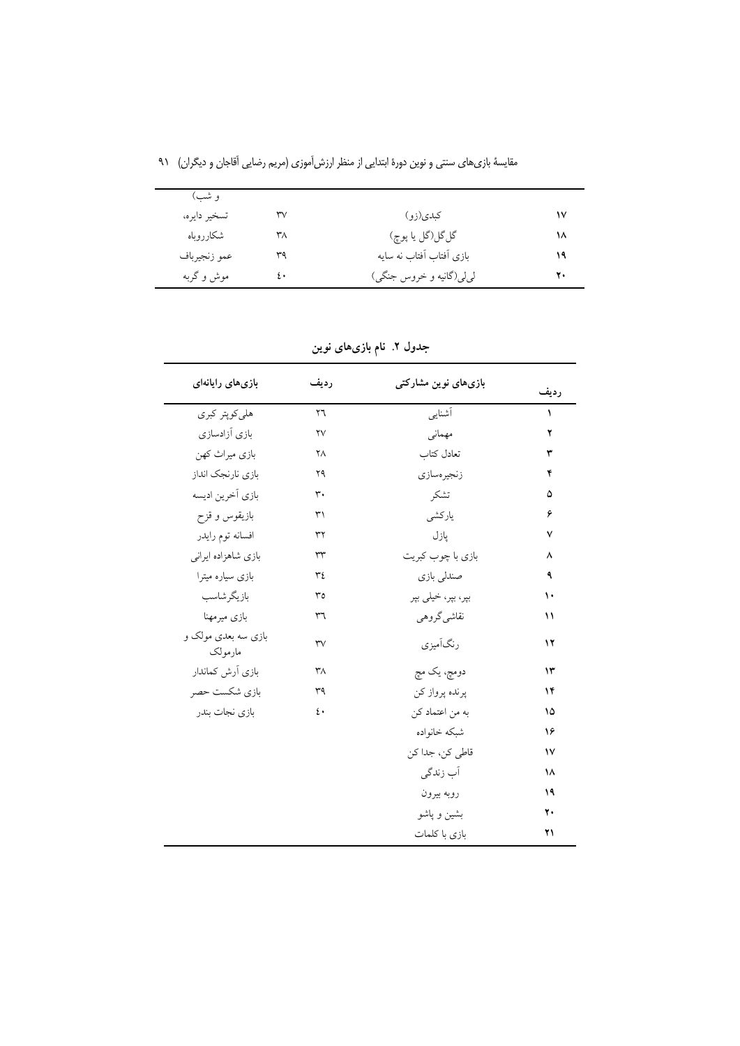| و شب)        |    |                           |    |
|--------------|----|---------------------------|----|
| تسخير دايره، | ٣٧ | کبدی(زو)                  | ۱۷ |
| شكارروباه    | ٣٨ | گلگل(گل يا پوچ)           | ۱۸ |
| عمو زنجيرباف | ٣٩ | بازی آفتاب آفتاب نه سایه  | ۱۹ |
| موش و گربه   | ٤٠ | لي لي (گانيه و خروس جنگي) | ۲۰ |

مقایسهٔ بازیهای سنتی و نوین دورهٔ ابتدایی از منظر ارزش[موزی (مریم رضایی اَقاجان و دیگران) ۹۱

جدول ۲. نام بازیهای نوین

| بازى هاى رايانهاى              | رديف                    | بازیهای نوین مشارکتی | رديف          |
|--------------------------------|-------------------------|----------------------|---------------|
| هلي كوپتر كبرى                 | $\mathsf{Y} \mathsf{T}$ | أشنايبي              | $\lambda$     |
| بازى آزادسازى                  | $\mathsf{Y}\mathsf{V}$  | مهماني               | ۲             |
| بازي ميراث كهن                 | ٢٨                      | تعادل كتاب           | ٣             |
| بازي نارنجك انداز              | ۲۹                      | زنجيرهسازي           | ۴             |
| بازي أخرين اديسه               | $\mathsf{r}$ .          | تشكر                 | ۵             |
| بازيقوس و قزح                  | ٣١                      | ياركشى               | ۶             |
| افسانه توم رايدر               | $\tau\tau$              | پازل                 | ٧             |
| بازی شاهزاده ایرانی            | $\tau\tau$              | بازي با چوب كبريت    | ٨             |
| بازی سیاره میترا               | ٣٤                      | صندلی بازی           | ٩             |
| بازيگرشاسب                     | $r_0$                   | بپر، بپر، خیلی بپر   | ١.            |
| بازي ميرمهنا                   | ٣٦                      | نقاشي گروهي          | $\mathcal{U}$ |
| بازی سه بعدی مولک و<br>مارمولک | $\mathsf{r}\mathsf{v}$  | رنگآمیزی             | ۱۲            |
| بازي أرش كماندار               | ۳Λ                      | دومچ، یک مچ          | ۱۳            |
| بازي شكست حصر                  | ٣٩                      | پرنده پرواز کن       | ١۴            |
| بازي نجات بندر                 | ٤٠                      | به من اعتماد كن      | ۱۵            |
|                                |                         | شبكه خانواده         | ۱۶            |
|                                |                         | قاطی کن، جدا کن      | $\mathsf{v}$  |
|                                |                         | آب زندگی             | ١٨            |
|                                |                         | روبه بيرون           | ۱۹            |
|                                |                         | بشين و پاشو          | ٢.            |
|                                |                         | بازي با كلمات        | ۲۱            |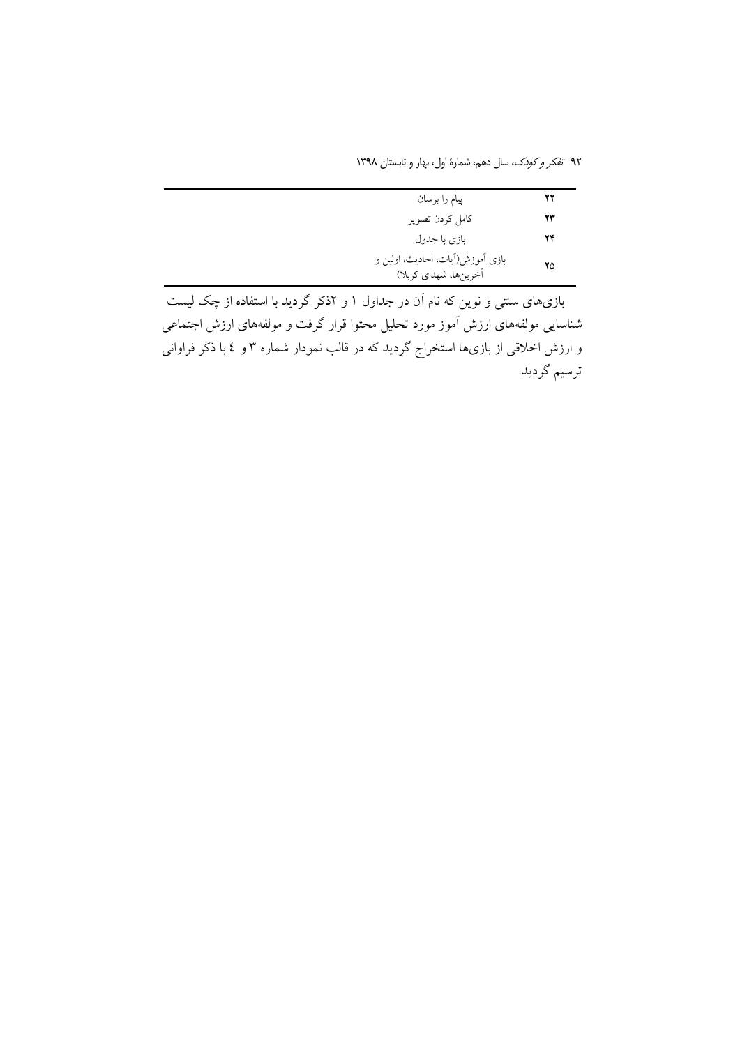۹۲ تف*کر و کودک*، سال دهم، شمارهٔ اول، بهار و تابستان ۱۳۹۸

| پیام را برسان                                             | ۲۲ |
|-----------------------------------------------------------|----|
| كامل كردن تصوير                                           | 23 |
| بازی با جدول                                              | 24 |
| بازی آموزش(آیات، احادیث، اولین و<br>أخرينها، شهداي كربلا) | ۲۵ |
|                                                           |    |

بازیهای سنتی و نوین که نام آن در جداول ۱ و ۲ذکر گردید با استفاده از چک لیست شناسایی مولفههای ارزش اَموز مورد تحلیل محتوا قرار گرفت و مولفههای ارزش اجتماعی و ارزش اخلاقی از بازیها استخراج گردید که در قالب نمودار شماره ۳ و ٤ با ذکر فراوانی ترسيم گرديد.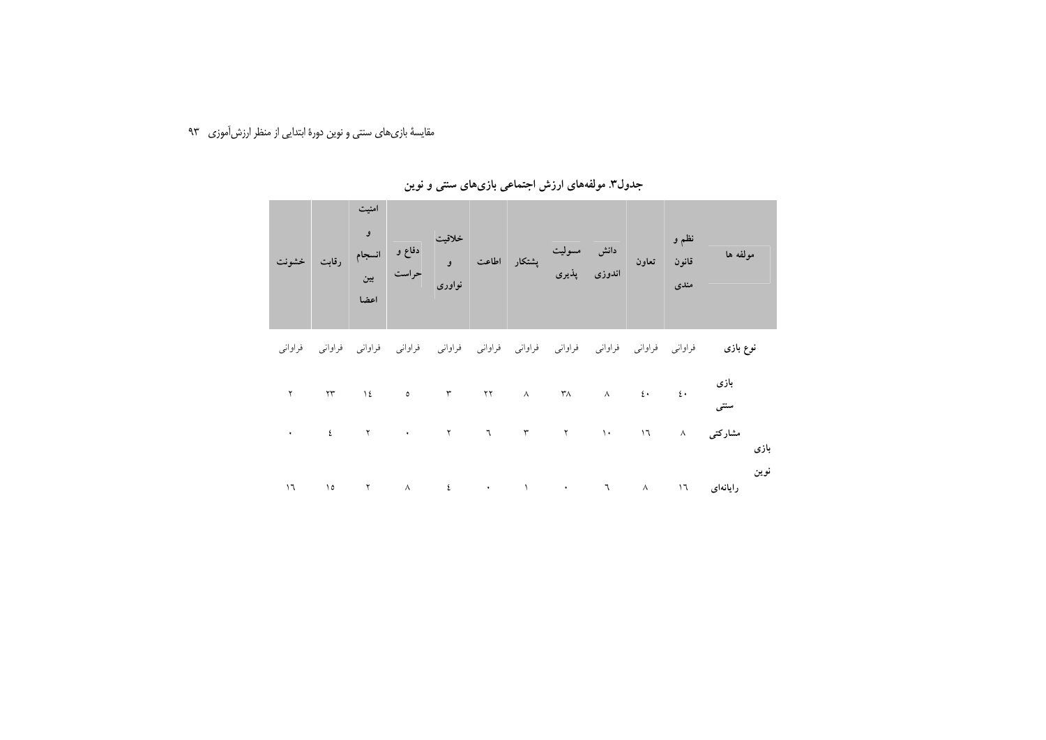مقایسهٔ بازیهای سنتی و نوین دورهٔ ابتدایی از منظر ارزش[موزی م

|  | رقابت خشونت | اعضا | نواوري |  | خلاقیت<br>تعاون انسجام<br>اندوزی پذیری پشتکار اطاعت و |  | نظم و<br>ا<br>قانون<br>مندي | مولفه ها |
|--|-------------|------|--------|--|-------------------------------------------------------|--|-----------------------------|----------|
|  |             |      |        |  |                                                       |  |                             |          |

جدول۳ مولفههای ارزش اجتماعی بازیهای سنتی و نوین

<mark>نوع بازی</mark> فراوانی فراوانی فراوانی فراوانی فراوانی فراوانی فراوانی فراوانی فراوانی فراوانی فراوانی

| بازی<br>۲۰ ۱۱ ۱۶ ۸۰ ۲۸ ۸۱ ۲۹ ۵ ۵ ۱ ۲۱ ۲<br>سنتی |  |  |  |  |  |  |
|-------------------------------------------------|--|--|--|--|--|--|
|                                                 |  |  |  |  |  |  |
| مشارکتی ۸ ۱۶ ۱۰ ۲ تا ۲ ۲ مشارکتی ۸<br>بازی      |  |  |  |  |  |  |
|                                                 |  |  |  |  |  |  |
|                                                 |  |  |  |  |  |  |
|                                                 |  |  |  |  |  |  |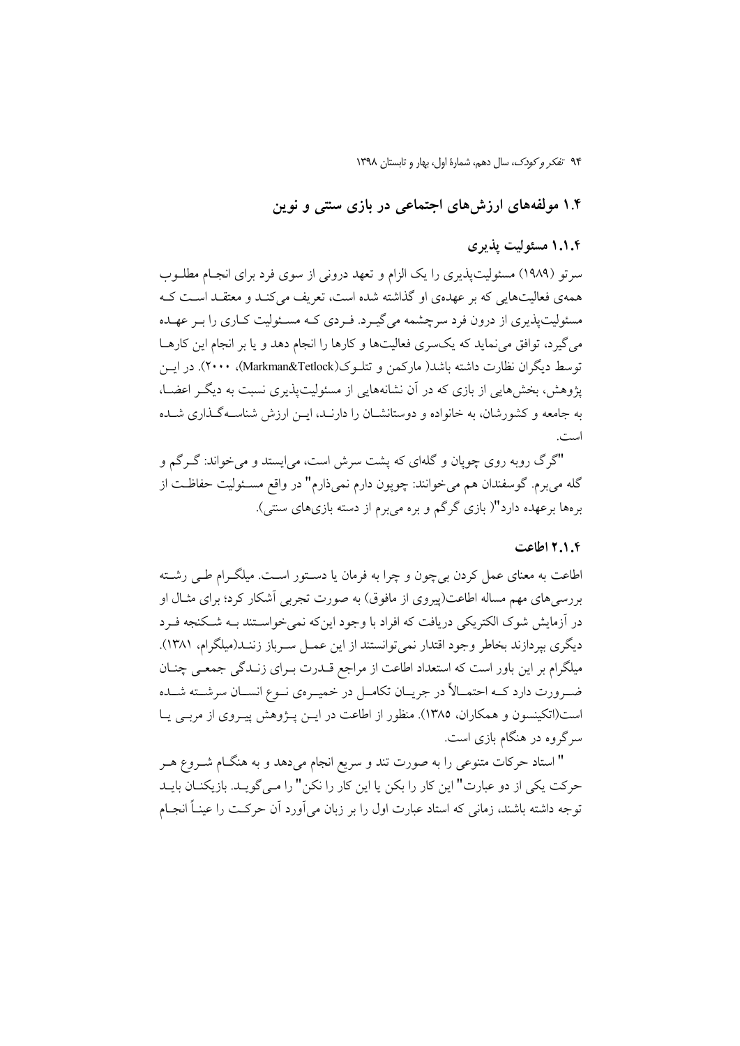۱.۴ مولفههای ارزشهای اجتماعی در بازی سنتی و نوین

## ۱.۱.۴ مسئولیت پذیری

سرتو (۱۹۸۹) مسئولیتیذیری را یک الزام و تعهد درونی از سوی فرد برای انجـام مطلــوب همهي فعاليتهايي كه بر عهدهي او گذاشته شده است، تعريف مي كنـد و معتقـد اسـت كـه مسئولیت پذیری از درون فرد سرچشمه می گیـرد. فـردی کـه مسـئولیت کـاری را بـر عهـده می گیرد، توافق می نماید که یکسری فعالیتها و کارها را انجام دهد و یا بر انجام این کارهــا توسط دیگران نظارت داشته باشد( مارکمن و تتلـوک(Markman&Tetlock)، ۲۰۰۰). در ایــن یژوهش، بخش هایی از بازی که در آن نشانههایی از مسئولیتپذیری نسبت به دیگر اعضــا، به جامعه و کشورشان، به خانواده و دوستانشــان را دارنــد، ایــن ارزش شناســهگــذاری شــده است.

"گرگ روبه روی چوپان و گلهای که پشت سرش است، می|یستد و میخواند: گـرگم و گله ميبرم. گوسفندان هم ميخوانند: چوپون دارم نميذارم" در واقع مسـئوليت حفاظـت از برهها برعهده دارد"( بازی گرگم و بره میبرم از دسته بازیهای سنتی).

#### ٢.١.٤ اطاعت

اطاعت به معنای عمل کردن بیچون و چرا به فرمان یا دسـتور اسـت. میلگـرام طـی رشـته بررسیهای مهم مساله اطاعت(پیروی از مافوق) به صورت تجربی آشکار کرد؛ برای مثــال او در آزمایش شوک الکتریکی دریافت که افراد با وجود اینکه نمی خواسـتند بــه شــکنجه فــرد دیگری بیر دازند بخاطر وجود اقتدار نمی توانستند از این عمــل ســرباز زننــد(میلگرام، ۱۳۸۱). میلگرام بر این باور است که استعداد اطاعت از مراجع قــدرت بــرای زنــدگی جمعــی چنــان ضـرورت دارد كــه احتمــالأ در جريــان تكامــل در خميــرهي نــوع انســان سرشــته شــده است(اتکینسون و همکاران، ۱۳۸۵). منظور از اطاعت در ایــن پــژوهش پیــروی از مربــی پــا سرگروه در هنگام بازی است.

" استاد حرکات متنوعی را به صورت تند و سریع انجام میدهد و به هنگــام شــروع هــر حركت يكي از دو عبارت" اين كار را بكن يا اين كار را نكن" را مـي گويـد. بازيكنـان بايـد توجه داشته باشند، زمانی که استاد عبارت اول را بر زبان می آورد آن حرکت را عینـاً انجــام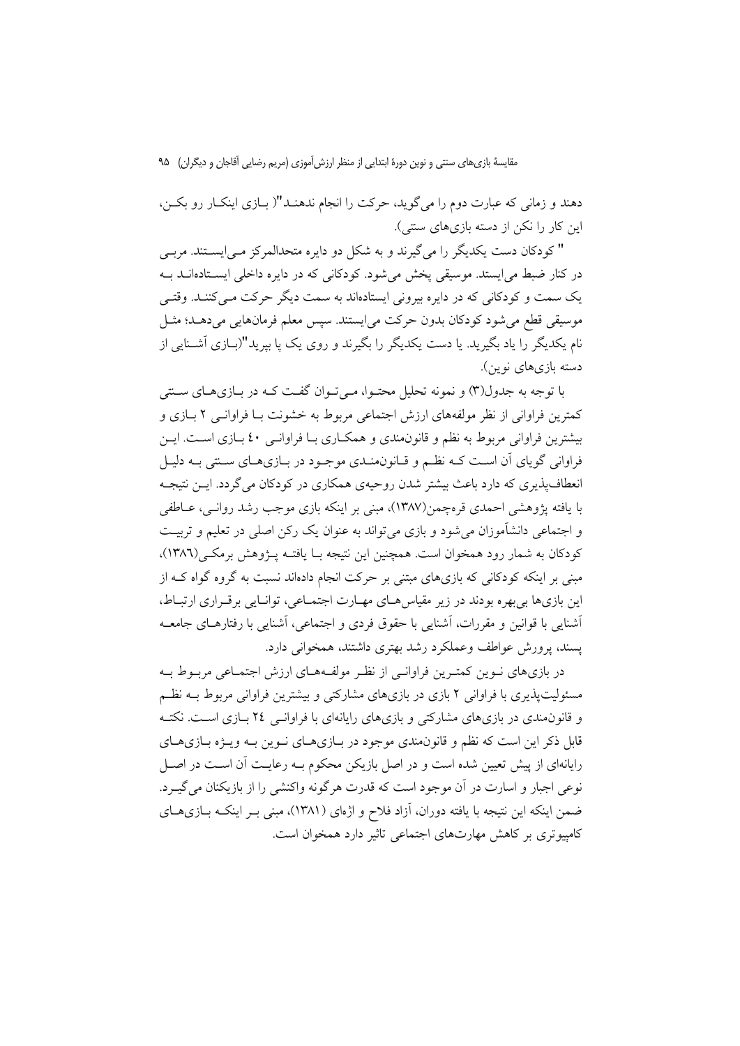مقايسهٔ بازي هاي سنتي و نوين دورهٔ ابتدايي از منظر ارزش آموزي (مريم رضايي آقاجان و ديگران) ۹۵

دهند و زمانی که عبارت دوم را میگوید، حرکت را انجام ندهنـد"( بــازی اینکــار رو بکــن، این کار را نکن از دسته بازی های سنتی).

" کو دکان دست یکدیگر را می گیرند و به شکل دو دایره متحدالمرکز مـی|پســتند. مربـی در کنار ضبط می ایستد. موسیقی یخش می شود. کودکانی که در دایره داخلی ایسـتادهانــد بــه یک سمت و کودکانی که در دایره بیرونی ایستادهاند به سمت دیگر حرکت مـی کننـد. وقتـی موسیقی قطع میشود کودکان بدون حرکت می|یستند. سپس معلم فرمانهایی میدهـد؛ مثـل نام یکدیگر را یاد بگیرید. یا دست یکدیگر را بگیرند و روی یک یا بیرید"(بــازی اَشــنایی از دسته بازیهای نوین).

یا توجه به جدول(۳) و نمونه تحلیل محتـوا، مـه تـوان گفـت کـه در بـازیهبای سـتنی کمترین فراوانی از نظر مولفههای ارزش اجتماعی مربوط به خشونت بـا فراوانـی ۲ بـازی و بیشترین فراوانی مربوط به نظم و قانون مندی و همکاری بـا فراوانـی ٤٠ بـازی اسـت. ایــن فراواني گوياي آن اسـت كــه نظــم و قــانون&نــدي موجــود در بــازيهــاي ســنتي بــه دليـل انعطاف پذیری که دارد باعث بیشتر شدن روحیهی همکاری در کودکان می گردد. ایــن نتیجــه با یافته پژوهشی احمدی قرهچمن(۱۳۸۷)، مبنی بر اینکه بازی موجب رشد روانـی، عــاطفی و اجتماعی دانشآموزان می شود و بازی می تواند به عنوان یک رکن اصلی در تعلیم و تربیت کودکان به شمار رود همخوان است. همچنین این نتیجه بــا یافتــه پـــژوهش برمکــی(١٣٨٦)، مبنی بر اینکه کودکانی که بازیهای مبتنی بر حرکت انجام دادهاند نسبت به گروه گواه کـه از این بازیها بی بهره بودند در زیر مقیاس هـای مهـارت اجتمـاعی، توانـایی برقـراری ارتبـاط، أشنايي با قوانين و مقررات، أشنايي با حقوق فردي و اجتماعي، أشنايي با رفتارهـاي جامعــه يسند، يرورش عواطف وعملكرد رشد بهتري داشتند، همخواني دارد.

در بازیهای نـوین کمتـرین فراوانـی از نظـر مولفـههـای ارزش اجتمـاعی مربـوط بـه مسئولیتپذیری با فراوانی ۲ بازی در بازیهای مشارکتی و بیشترین فراوانی مربوط بــه نظــم و قانون مندی در بازی های مشارکتی و بازی های رایانهای با فراوانـی ۲٤ بـازی اسـت. نکتـه قابل ذکر این است که نظم و قانون.مندی موجود در بیازی هیای نبوین بیه وییژه بیازی هیای رایانهای از پیش تعیین شده است و در اصل بازیکن محکوم بـه رعایـت اّن اسـت در اصـل نوعی اجبار و اسارت در آن موجود است که قدرت هرگونه واکنشی را از بازیکنان می گیـرد. ضمن اینکه این نتیجه با یافته دوران، آزاد فلاح و اژهای (۱۳۸۱)، مبنی بـر اینکـه بـازیهـای کامپیوتری بر کاهش مهارتهای اجتماعی تاثیر دارد همخوان است.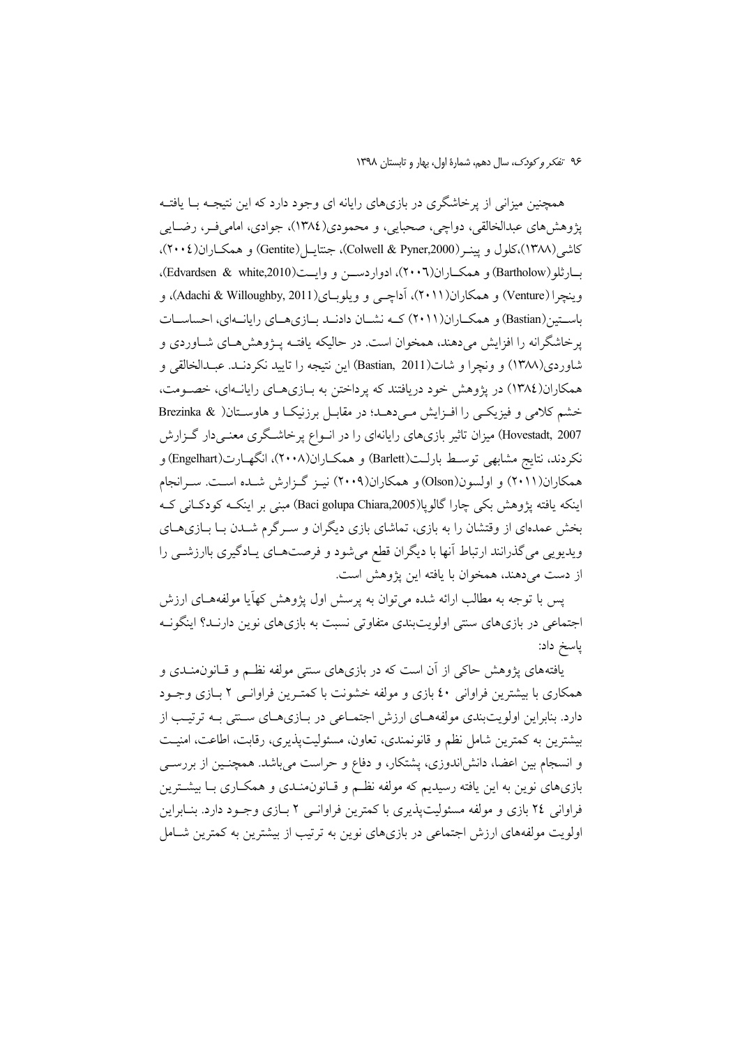همچنین میزانی از پرخاشگری در بازیهای رایانه ای وجود دارد که این نتیجــه بــا یافتــه پژوهش،های عبدالخالقی، دواچی، صحبایی، و محمودی(١٣٨٤)، جوادی، امامیفـر، رضــایی كاشي(١٣٨٨)،كلول و يينـر (Colwell & Pyner,2000)، جنتايـل(Gentite) و همكــاران(٢٠٠٤)، بارثلو(Bartholow) و همكـاران(٢٠٠٦)، ادواردســن و وايــت(Edvardsen & white,2010). وينچرا (Venture) و همكاران(۲۰۱۱)، آداچى و ويلوبـاى(Adachi & Willoughby, 2011)، و باســتين(Bastian) و همكــاران(٢٠١١) كــه نشــان دادنــد بــازىهــاي رايانــهاي، احساســات پرخاشگرانه را افزایش میدهند، همخوان است. در حالیکه یافتـه پــژوهش۵هـای شــاوردی و شاوردی(۱۳۸۸) و ونچرا و شات(Bastian, 2011) این نتیجه را تایید نکردنــد. عبــدالخالقی و همکاران(۱۳۸٤) در پژوهش خود دریافتند که پرداختن به بــازیهــای رایانــهای، خصــومت، خشم کلامی و فیزیکــی را افــزایش مــیدهــد؛ در مقابــل برزنیکــا و هاوســتان( & Brezinka Hovestadt, 2007) میزان تاثیر بازیهای رایانهای را در انــواع پرخاشــگری معنــیدار گــزارش نکردند، نتایج مشابهی توسـط بارلــت(Barlett) و همکــاران(۲۰۰۸)، انگهــارت(Engelhart) و همکاران(۲۰۱۱) و اولسون(Olson) و همکاران(۲۰۰۹) نیـز گـزارش شـده اسـت. سـرانجام ینکه یافته پژوهش بکی چارا گالوپا(Baci golupa Chiara,2005) مبنی بر اینکـه کودکــانی کــه بخش عمدهای از وقتشان را به بازی، تماشای بازی دیگران و ســرگرم شــدن بــا بــازیهــای ویدیویی می گذرانند ارتباط آنها با دیگران قطع میشود و فرصتهـای یـادگیری باارزشــی را ز دست میدهند، همخوان با یافته این پژوهش است.

پس با توجه به مطالب ارائه شده میتوان به پرسش اول پژوهش کهأیا مولفههـای ارزش اجتماعی در بازیهای سنتی اولویتبندی متفاوتی نسبت به بازیهای نوین دارنــد؟ اینگونــه ياسخ داد:

بافتههای پژوهش حاکی از آن است که در بازیهای سنتی مولفه نظــم و قــانون.منــدی و همکاری با بیشترین فراوانی ٤٠ بازی و مولفه خشونت با کمتـرین فراوانــی ٢ بــازی وجــود دارد. بنابراین اولویتبندی مولفههــای ارزش اجتمــاعی در بــازیهــای ســنتی بــه ترتیــب از بیشترین به کمترین شامل نظم و قانونمندی، تعاون، مسئولیتپذیری، رقابت، اطاعت، امنیــت و انسجام بین اعضا، دانشlندوزی، پشتکار، و دفاع و حراست میباشد. همچنـین از بررســی بازیهای نوین به این یافته رسیدیم که مولفه نظــم و قــانون&نــدی و همکــاری بــا بیشــترین فراوانی ۲٤ بازی و مولفه مسئولیتپذیری با کمترین فراوانــی ۲ بــازی وجــود دارد. بنــابراین اولویت مولفههای ارزش اجتماعی در بازیهای نوین به ترتیب از بیشترین به کمترین شــامل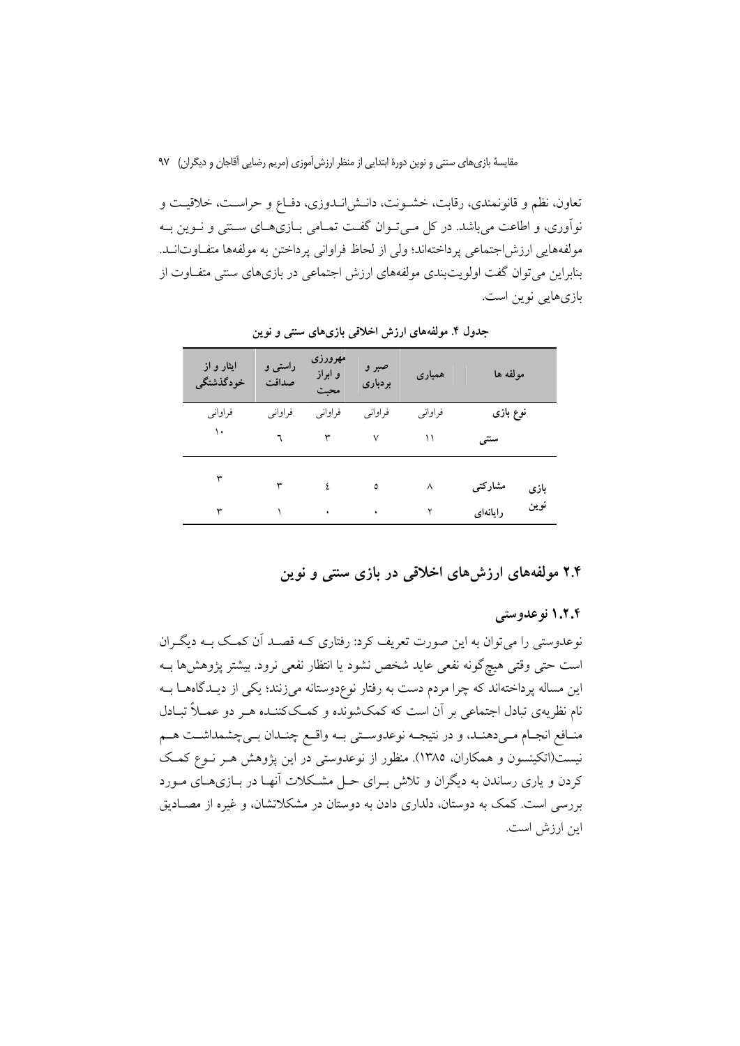تعاون، نظم و قانونمندي، رقابت، خشـونت، دانـش(نـدوزي، دفـاع و حراسـت، خلاقيـت و نوآوری، و اطاعت می باشد. در کل مـی تـوان گفـت تمـامی بـازیهـای سـنتی و نـوین بـه مولَّفههايي ارزش|جتماعي يرداختهاند؛ ولي از لحاظ فراواني يرداختن به مولَّفهها متفَّـاوتانــد. بنابراین می توان گفت اولویتبندی مولفههای ارزش اجتماعی در بازیهای سنتی متفـاوت از بازیهایی نوین است.

| ایثار و از<br>خودگذشتگى | راستی و<br>صداقت | مهرورزي<br>و ابراز<br>محبت | صبر و<br>بردبارى | همیاری  | مولفه ها |      |
|-------------------------|------------------|----------------------------|------------------|---------|----------|------|
| فراواني                 | فراواني          | فراواني                    | فراواني          | فراواني | نوع بازی |      |
| ١٠                      |                  | ٣                          | ٧                | ۱۱      | سنتبى    |      |
|                         | ٣                | ٤                          | ٥                | ٨       | مشاركتى  | بازی |
| ٣                       |                  | ٠                          | ٠                |         | رايانهاى | نوين |

جدول ۴. مولفههای ارزش اخلاقی بازیهای سنتی و نوین

۲.۴ مولفههای ارزشهای اخلاقی در بازی سنتی و نوین

۱.۲.۴ نوعدوستی

نوعدوستی را میتوان به این صورت تعریف کرد: رفتاری کـه قصـد آن کمـک بـه دیگـران است حتى وقتى هيچگونه نفعي عايد شخص نشود يا انتظار نفعي نرود. بيشتر پژوهشها بـه این مساله پرداختهاند که چرا مردم دست به رفتار نوعِدوستانه میزنند؛ یکی از دیــدگاههــا بــه نام نظریهی تبادل اجتماعی بر آن است که کمکشونده و کمککننـده هـر دو عمــلاً تبــادل منـافع انجـام مـىدهنـد، و در نتيجـه نوعدوسـتى بـه واقـع چنـدان بـىچشمداشـت هــم نیست(اتکینسون و همکاران، ۱۳۸۵). منظور از نوعدوستی در این پژوهش هـر نـوع کمـک کردن و پاری رساندن به دیگران و تلاش بـرای حـل مشـکلات آنهـا در بــازی۵ـای مــورد بررسی است. کمک به دوستان، دلداری دادن به دوستان در مشکلاتشان، و غیره از مصـادیق اين ارزش است.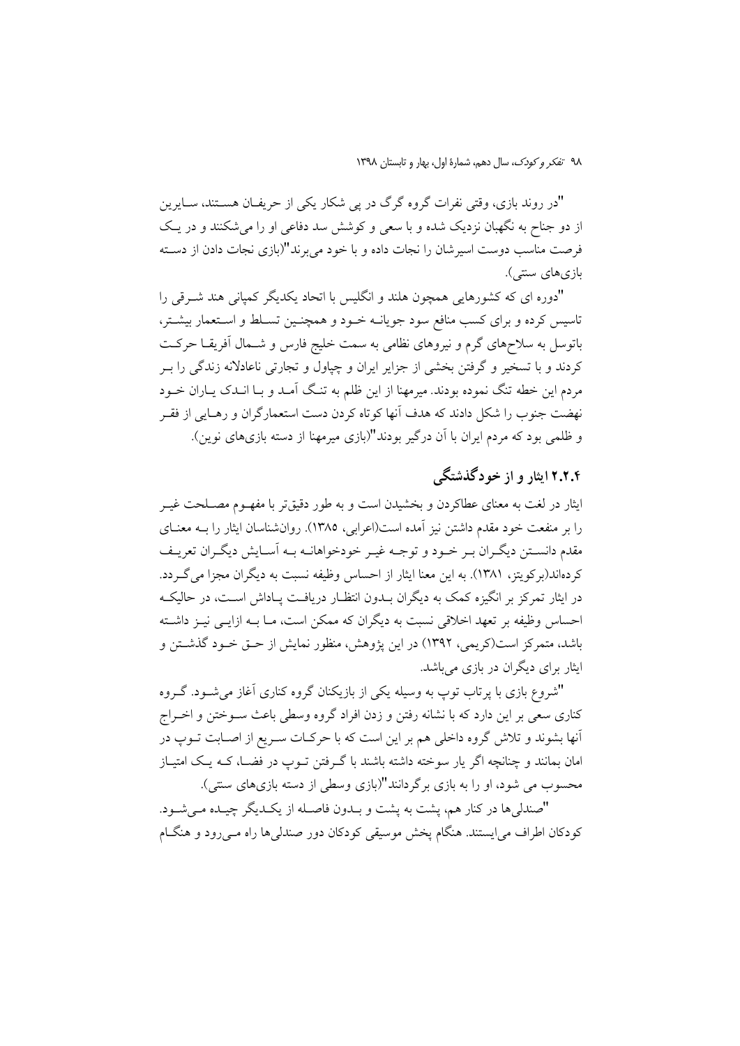"در روند بازی، وقتی نفرات گروه گرگ در پی شکار یکی از حریفـان هســتند، ســایرین از دو جناح به نگهبان نزدیک شده و با سعی و کوشش سد دفاعی او را میشکنند و در یـک فرصت مناسب دوست اسیرشان را نجات داده و با خود می برند"(بازی نجات دادن از دسـته بازيهاي ستتي).

"دوره ای که کشورهایی همچون هلند و انگلیس با اتحاد یکدیگر کمیانی هند شـرقی را تاسیس کرده و برای کسب منافع سود جویانــه خــود و همچنــین تســلط و اســتعمار بیشــتر، باتوسل به سلاحهای گرم و نیروهای نظامی به سمت خلیج فارس و شــمال آفریقــا حرکــت کردند و با تسخیر و گرفتن بخشی از جزایر ایران و چیاول و تجارتی ناعادلانه زندگی را بـر مردم این خطه تنگ نموده بودند. میرمهنا از این ظلم به تنگ آمـد و بـا انـدک پــاران خــود نهضت جنوب را شكل دادند كه هدف آنها كوتاه كردن دست استعمارگران و رهـايي از فقـر و ظلمی بود که مردم ایران با آن درگیر بودند"(بازی میرمهنا از دسته بازیهای نوین).

## ۲.۲.۴ ایثار و از خودگذشتگی

ایثار در لغت به معنای عطاکردن و بخشیدن است و به طور دقیقتر با مفهــوم مصــلحت غیــر را بر منفعت خود مقدم داشتن نیز آمده است(اعرابی، ۱۳۸۵). روانشناسان ایثار را بـه معنــای مقدم دانسـتن ديگـران بـر خـود و توجـه غيـر خودخواهانـه بـه اَسـايش ديگـران تعريـف كردهاند(بركويتز، ١٣٨١). به اين معنا ايثار از احساس وظيفه نسبت به ديگران مجزا مي گـردد. در ایثار تمرکز بر انگیزه کمک به دیگران بــدون انتظــار دریافـت پــاداش اســت، در حالیکــه احساس وظیفه بر تعهد اخلاقی نسبت به دیگران که ممکن است، مـا بــه ازایــی نیــز داشــته باشد، متمرکز است(کریمی، ۱۳۹۲) در این پژوهش، منظور نمایش از حـق خــود گذشــتن و ایثار برای دیگران در بازی میباشد.

"شروع بازی با پرتاب توپ به وسیله یکی از بازیکنان گروه کناری آغاز میشـود. گـروه کناری سعی بر این دارد که با نشانه رفتن و زدن افراد گروه وسطی باعث ســوختن و اخــراج آنها بشوند و تلاش گروه داخلی هم بر این است که با حرکـات سـریع از اصـابت تــوپ در امان بمانند و چنانچه اگر یار سوخته داشته باشند با گـرفتن تــوپ در فضــا، کــه یــک امتیــاز محسوب می شود، او را به بازی برگردانند"(بازی وسطی از دسته بازیهای سنتی).

"صندلي ها در كنار هم، يشت به يشت و بـدون فاصـله از يكـديگر چيـده مـي شـود. کودکان اطراف می!یستند. هنگام پخش موسیقی کودکان دور صندلیها راه مـیرود و هنگـام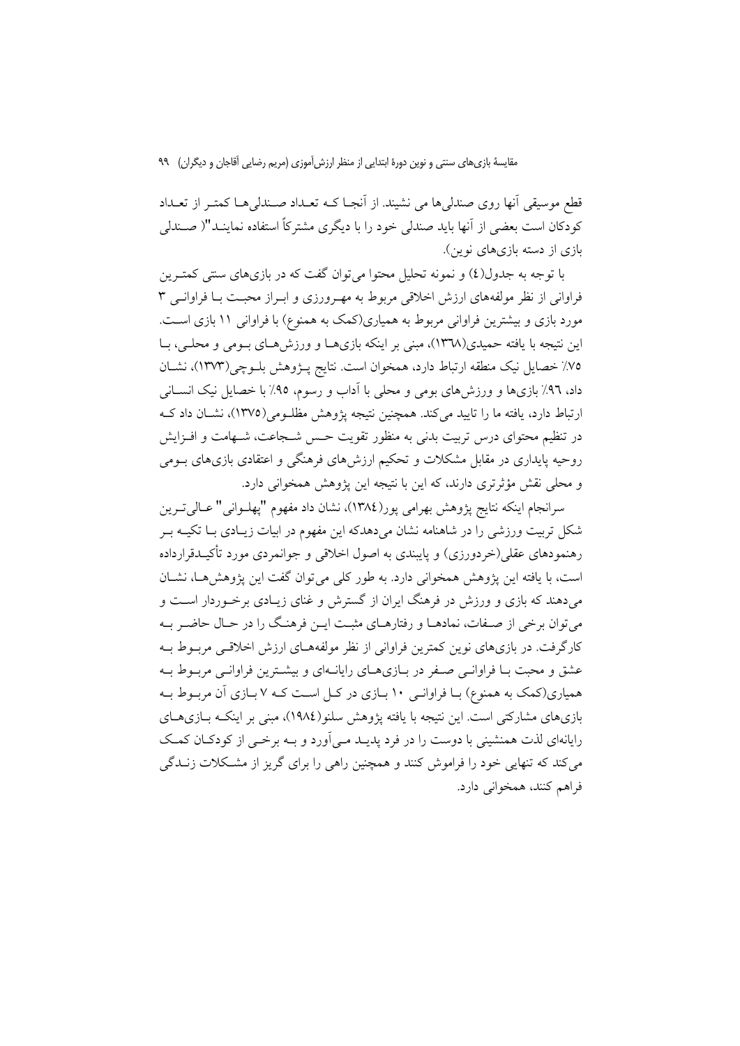مقایسهٔ بازیهای سنتی و نوین دورهٔ ابتدایی از منظر ارزش آموزی (مریم رضایی آقاجان و دیگران) ۹۹

قطع موسیقی آنها روی صندلی۵ها می نشیند. از آنجـا کــه تعــداد صــندلی۵ــا کمتــر از تعــداد كودكان است بعضي از آنها بايد صندلي خود را با ديگري مشتركاً استفاده نماينـد"( صـندلي بازی از دسته بازیهای نوین).

با توجه به جدول(٤) و نمونه تحلیل محتوا می توان گفت که در بازیهای سنتی کمتـرین فراوانی از نظر مولفههای ارزش اخلاقی مربوط به مهـرورزی و ابـراز محبـت بـا فراوانــی ۳ مورد بازی و بیشترین فراوانی مربوط به همیاری(کمک به همنوع) با فراوانی ۱۱ بازی است. این نتیجه با یافته حمیدی(۱۳۷۸)، مبنی بر اینکه بازیهـا و ورزشهـای بـومی و محلـی، بـا ٧٥٪ خصايل نيك منطقه ارتباط دارد، همخوان است. نتايج پـژوهش بلـوچي(١٣٧٣)، نشـان داد، ۹۲٪ بازیها و ورزشهای بومی و محلی با آداب و رسوم، ۹۵٪ با خصایل نیک انســانی ارتباط دارد، یافته ما را تایید می کند. همچنین نتیجه پژوهش مظلـومی(۱۳۷۵)، نشـان داد کـه در تنظیم محتوای درس تربیت بدنی به منظور تقویت حـس شــجاعت، شــهامت و افــزایش روحیه پایداری در مقابل مشکلات و تحکیم ارزش۵ای فرهنگی و اعتقادی بازی۵ای بــومی و محلي نقش مؤثرتري دارند، كه اين با نتيجه اين يژوهش همخواني دارد.

سرانجام اينكه نتايج پژوهش بهرامي پور(١٣٨٤)، نشان داد مفهوم "پهلـواني" عــالـيتــرين شکل تربیت ورزشی را در شاهنامه نشان میدهدکه این مفهوم در ابیات زیـادی بـا تکیــه بــر رهنمودهای عقلی(خردورزی) و پایبندی به اصول اخلاقی و جوانمردی مورد تأکیــدقرارداده است، با یافته این پژوهش همخوانی دارد. به طور کلی می توان گفت این پژوهش هـا، نشـان می،دهند که بازی و ورزش در فرهنگ ایران از گسترش و غنای زیـادی برخـوردار اسـت و می توان برخی از صـفات، نمادهـا و رفتارهـای مثبـت ايـن فرهنـگ را در حـال حاضـر بـه کارگرفت. در بازیهای نوین کمترین فراوانی از نظر مولفههـای ارزش اخلاقـی مربـوط بـه عشق و محبت بـا فراوانـي صـفر در بـازي١عـاي رايانـهاي و بيشـترين فراوانـي مربـوط بـه همیاری(کمک به همنوع) بـا فراوانـی ۱۰ بـازی در کـل اسـت کـه ۷ بـازی آن مربـوط بـه بازیهای مشارکتی است. این نتیجه با یافته پژوهش سلنو(١٩٨٤)، مبنی بر اینکـه بــازیهــای رایانهای لذت همنشینی با دوست را در فرد پدیـد مـی آورد و بــه برخــی از کودکــان کمــک می کند که تنهایی خود را فراموش کنند و همچنین راهی را برای گریز از مشکلات زنــدگی فراهم كنند، همخواني دارد.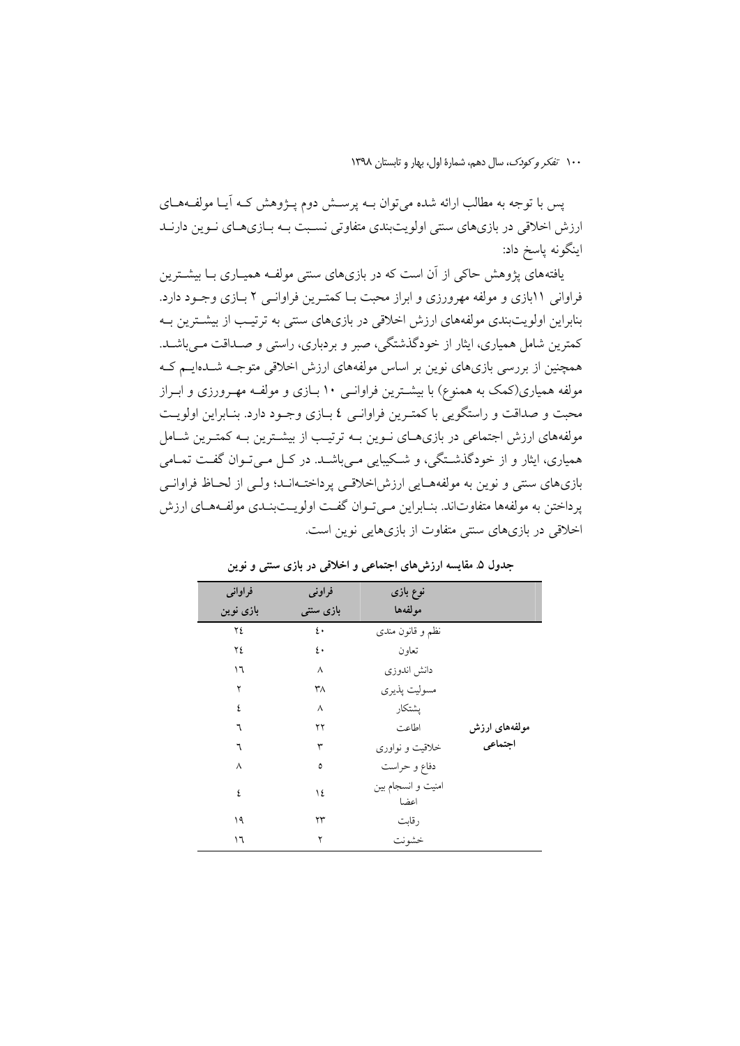١٠٠ تفكر وكودك، سال دهم، شمارة اول، بهار و تابستان ١٣٩٨

یس با توجه به مطالب ارائه شده می توان بــه پرســش دوم پــژوهش کــه اَیــا مولّفــههــای ارزش اخلاقی در بازیهای سنتی اولویتبندی متفاوتی نسبت بـه بـازیهـای نـوین دارنـد اینگونه یاسخ داد:

یافتههای پژوهش حاکی از آن است که در بازیهای سنتی مولف وهمپاری با بیشترین فراوانی ۱۱بازی و مولفه مهرورزی و ابراز محبت بـا کمتـرین فراوانـی ۲ بـازی وجـود دارد. بنابراین اولویتبندی مولفههای ارزش اخلاقی در بازیهای سنتی به ترتیب از بیشترین بـه کمترین شامل همیاری، ایثار از خودگذشتگی، صبر و بردباری، راستی و صـداقت مـیباشـد. همچنین از بررسی بازیهای نوین بر اساس مولفههای ارزش اخلاقی متوجـه شــدهایــم کــه مولفه همیاری(کمک به همنوع) با بیشـترین فراوانــی ۱۰ بــازی و مولفــه مهــرورزی و ابــراز محبت و صداقت و راستگویی با کمتـرین فراوانـی ٤ بـازی وجـود دارد. بنـابراین اولویـت مولفههای ارزش اجتماعی در بازیهـای نـوین بــه ترتیـب از بیشـترین بــه کمتـرین شــامل همیاری، ایثار و از خودگذشتگی، و شکیبایی مـیباشـد. در کـل مـیتـوان گفـت تمـامی بازیهای سنتی و نوین به مولفههـایی ارزش|خلاقـی پرداختـهانـد؛ ولـی از لحـاظ فراوانـی پرداختن به مولفهها متفاوتاند. بنـابراين مـيتوان گفـت اولويـتبنـدي مولفـههـاي ارزش اخلاقی در بازیهای سنتی متفاوت از بازیهایی نوین است.

| فراواني   | فراوني           | نوع بازی                   |               |
|-----------|------------------|----------------------------|---------------|
| بازی نوین | بازی سنتی        | مولفهها                    |               |
| ٢٤        | $\mathfrak{t}$ . | نظم و قانون مندی           |               |
| ٢٤        | ٤٠               | تعاون                      |               |
| ۱٦        | ٨                | دانش اندوزى                |               |
| ۲         | ٣٨               | مسوليت يذيري               |               |
| ٤         | ٨                | يشتكار                     |               |
| ٦         | ۲۲               | اطاعت                      | مولفههای ارزش |
| ٦         | ٣                | خلاقیت و نواوری            | اجتماعي       |
| ٨         | ٥                | دفاع و حراست               |               |
| ٤         | ١٤               | امنیت و انسجام بین<br>اعضا |               |
| ۱۹        | ۲۳               | رقابت                      |               |
| ۱٦        | ۲                | خشونت                      |               |

جدول ۵. مقایسه ارزش های اجتماعی و اخلاقی در بازی سنتی و نوین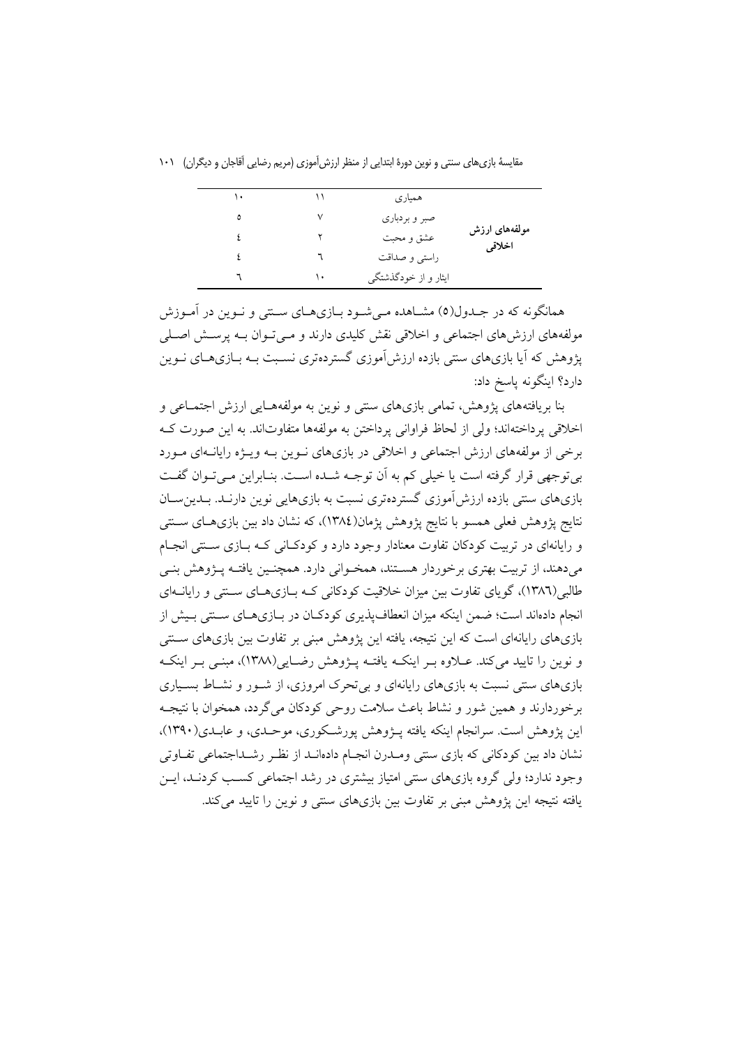| ۱۰ | ۱۱ | همیاری               |                         |
|----|----|----------------------|-------------------------|
| ٥  | ٧  | صبر و بردباري        |                         |
| ٤  | ۲  | عشق و محبت           | مولفههای ارزش<br>اخلاقى |
| ٤  |    | راستي و صداقت        |                         |
|    | ۱. | ایثار و از خودگذشتگی |                         |

مقایسهٔ بازیهای سنتی و نوین دورهٔ ابتدایی از منظر ارزش آموزی (مریم رضایی اَقاجان و دیگران) ۱۰۱

همانگونه که در جـدول(٥) مشــاهده مــیشــود بــازیهــای ســنتی و نــوین در أمــوزش مولفههای ارزشهای اجتماعی و اخلاقی نقش کلیدی دارند و مـی تـوان بـه پرســش اصــلی یژوهش که آیا بازیهای سنتی بازده ارزش آموزی گستردهتری نسـبت بـه بـازیهـای نـوین دارد؟ اینگونه پاسخ داد:

بنا بریافتههای پژوهش، تمامی بازیهای سنتی و نوین به مولفههـایی ارزش اجتمـاعی و اخلاقي يرداختهاند؛ ولي از لحاظ فراواني يرداختن به مولفهها متفاوتاند. به اين صورت كـه برخی از مولفههای ارزش اجتماعی و اخلاقی در بازیهای نوین بـه ویـژه رایانـهای مـورد بی توجهی قرار گرفته است یا خیلی کم به آن توجـه شـده اسـت. بنـابراین مـی تـوان گفـت بازیهای سنتی بازده ارزش آموزی گستردهتری نسبت به بازیهایی نوین دارنـد. بـدینِسـان نتايج پژوهش فعلي همسو با نتايج پژوهش پژمان(١٣٨٤)، كه نشان داد بين بازيهـاي ســنتي و رایانهای در تربیت کودکان تفاوت معنادار وجود دارد و کودکـانی کـه بـازی سـتتی انجـام میدهند، از تربیت بهتری برخوردار هسـتند، همخـوانی دارد. همچنـین یافتـه پـژوهش بنـی طالبی(۱۳۸٦)، گویای تفاوت بین میزان خلاقیت کودکانی کـه بـازیهـای سـنتی و رایانــهای انجام دادهاند است؛ ضمن اینکه میزان انعطافپذیری کودکـان در بـازیهـای سـنتی بـیش از بازیهای رایانهای است که این نتیجه، یافته این پژوهش مبنی بر تفاوت بین بازیهای ســنتی و نوین را تایید می کند. عـلاوه بـر اینکـه یافتـه پـژوهش رضـایی(۱۳۸۸)، مبنـی بـر اینکـه بازیهای سنتی نسبت به بازیهای رایانهای و بی تحرک امروزی، از شـور و نشـاط بسـیاری برخوردارند و همین شور و نشاط باعث سلامت روحی کودکان می گردد، همخوان با نتیجـه این یژوهش است. سرانجام اینکه یافته پـژوهش پورشـکوری، موحـدی، و عابـدی(۱۳۹۰)، نشان داد بین کو دکانی که بازی سنتی ومـدرن انجـام دادهانــد از نظـر رشــداجتماعی تفــاوتی وجود ندارد؛ ولی گروه بازیهای سنتی امتیاز بیشتری در رشد اجتماعی کسب کردنـد، ایـن یافته نتیجه این یژوهش مبنی بر تفاوت بین بازیهای سنتی و نوین را تایید می کند.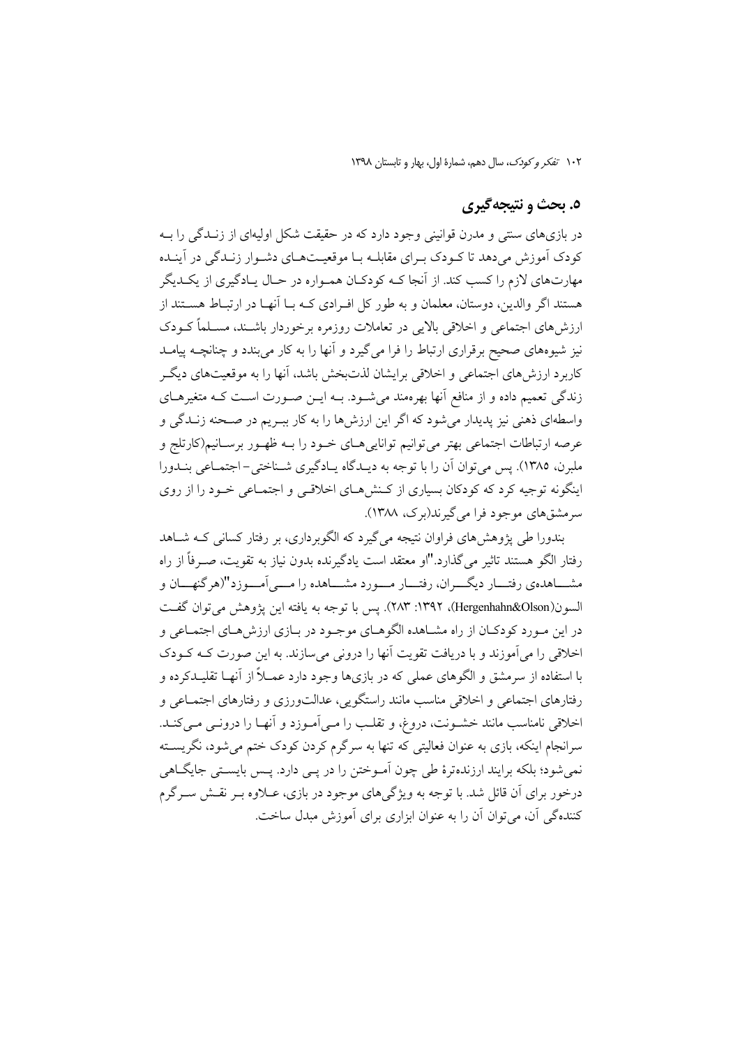### ٥. بحث و نتيجه گيري

در بازیهای سنتی و مدرن قوانینی وجود دارد که در حقیقت شکل اولیهای از زنـدگی را بـه کودک آموزش میدهد تا کـودک بـرای مقابلـه بـا موقعیـتهـای دشـوار زنـدگی در آینـده مهارتهای لازم را کسب کند. از آنجا کـه کودکـان همـواره در حـال پـادگیری از یکـدیگر هستند اگر والدین، دوستان، معلمان و به طور کل افـرادی کـه بــا آنهــا در ارتبــاط هســتند از ارزش های اجتماعی و اخلاقی بالایی در تعاملات روزمره برخوردار باشـند، مسـلماً کــودک نیز شیوههای صحیح برقراری ارتباط را فرا میگیرد و آنها را به کار میبندد و چنانچــه پیامــد کاربرد ارزش های اجتماعی و اخلاقی برایشان لذتبخش باشد، آنها را به موقعیتهای دیگ زندگی تعمیم داده و از منافع آنها بهرهمند میشـود. بــه ایــن صــورت اســت کــه متغیرهــای واسطهاي ذهني نيز پديدار مي شود كه اگر اين ارزش ها را به كار بب يم در صـحنه زنــدگي و عرصه ارتباطات اجتماعي بهتر مي توانيم توانايي هـاي خــود را بــه ظهــور برســانيم(كارتلج و ملبرن، ۱۳۸۵). پس میتوان آن را با توجه به دیـدگاه یـادگیری شـناختی-اجتمـاعی بنـدورا اینگونه توجیه کرد که کودکان بسیاری از کـنش هـای اخلاقـی و اجتمـاعی خـود را از روی سرمشقهای موجود فرا میگیرند(برک، ۱۳۸۸).

بندورا طي پژوهش هاي فراوان نتيجه مي گيرد كه الگوبرداري، بر رفتار كساني كــه شــاهد رفتار الگو هستند تاثیر می گذارد."او معتقد است یادگیرنده بدون نیاز به تقویت، صــ فاً از راه مشـــاهدهي رفتـــار ديگـــران، رفتـــار مـــورد مشـــاهده را مــــي آمـــوزد"(هر گنهـــان و السون(Hergenhahn&Olson)، ١٣٩٢: ٢٨٣). يس با توجه به يافته اين يژوهش مي توان گفت در این مـورد کودکـان از راه مشــاهده الگوهـاي موجـود در بـازي ارزش هـاي اجتمـاعي و اخلاقی را می آموزند و با دریافت تقویت آنها را درونی می سازند. به این صورت کـه کـودک با استفاده از سرمشق و الگوهای عملی که در بازیها وجود دارد عمــلاً از آنهــا تقلیــدکرده و رفتارهای اجتماعی و اخلاقی مناسب مانند راستگویی، عدالتورزی و رفتارهای اجتمـاعی و اخلاقی نامناسب مانند خشـونت، دروغ، و تقلـب را مـیlمـوزد و اَنهـا را درونـی مـیکنـد. سرانجام اینکه، بازی به عنوان فعالیتی که تنها به سرگرم کردن کودک ختم می شود، نگریســته نمي شود؛ بلكه برايند ارزندهترهٔ طي چون اَمــوختن را در يــي دارد. يــس بايســتي جايگــاهي درخور برای آن قائل شد. با توجه به ویژگیهای موجود در بازی، عــلاوه بــر نقــش ســرگرم کننده گی آن، می توان آن را به عنوان ایزاری برای آموزش میدل ساخت.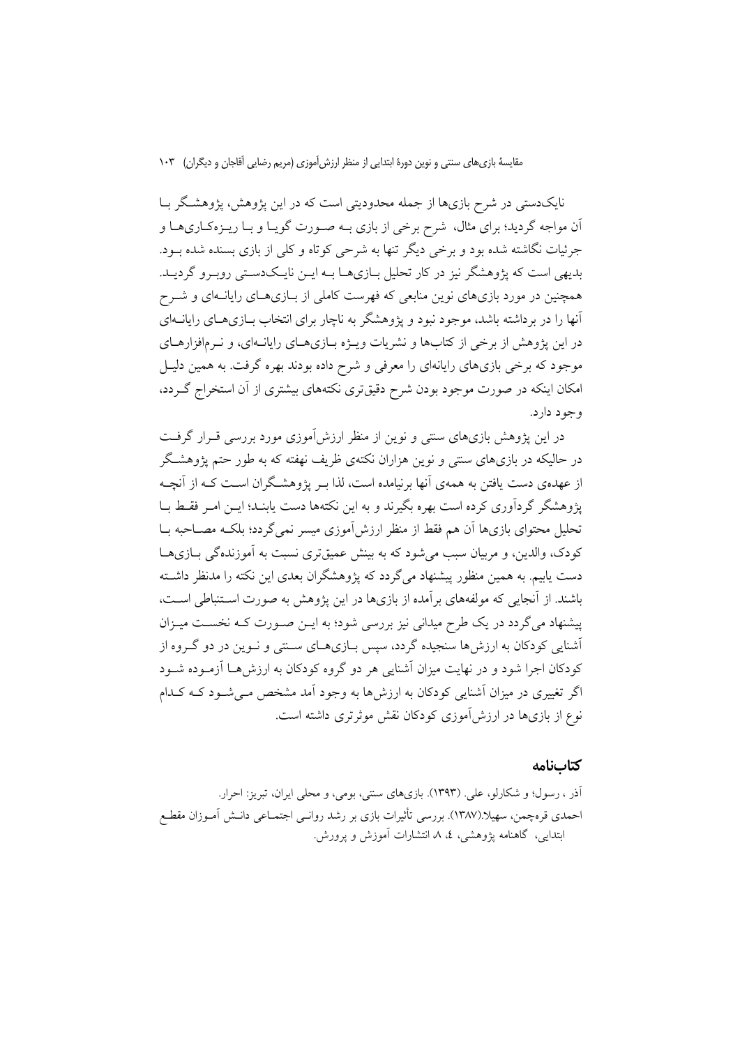مقایسهٔ بازیهای سنتی و نوین دورهٔ ابتدایی از منظر ارزش آموزی (مریم رضایی اَقاجان و دیگران) ۱۰۳

نایکدستی در شرح بازیها از جمله محدودیتی است که در این پژوهش، پژوهشگر بـا اّن مواجه گردید؛ برای مثال، شرح برخی از بازی بـه صـورت گویـا و بـا ریــزهکـاریهـا و جرئیات نگاشته شده بود و برخی دیگر تنها به شرحی کوتاه و کلی از بازی بسنده شده بــود. بدیهی است که یژوهشگر نیز در کار تحلیل بـازیهـا بـه ایــن نایــکدسـتی روبـرو گردیــد. همچنین در مورد بازیهای نوین منابعی که فهرست کاملی از بـازیهـای رایانـهای و شــرح آنها را در برداشته باشد، موجود نبود و پژوهشگر به ناچار برای انتخاب بــازیهــای رایانــهای در این یژوهش از برخی از کتابها و نشریات ویــژه بــازیهــای رایانــهای، و نــرمافزارهــای موجود که برخی بازیهای رایانهای را معرفی و شرح داده بودند بهره گرفت. به همین دلیـل امکان اینکه در صورت موجود بودن شرح دقیقتری نکتههای بیشتری از آن استخراج گـردد، وجود دارد.

در این پژوهش بازیهای سنتی و نوین از منظر ارزش[موزی مورد بررسی قـرار گرفـت در حالیکه در بازیهای سنتی و نوین هزاران نکتهی ظریف نهفته که به طور حتم پژوهشگر از عهدهی دست یافتن به همهی آنها برنیامده است، لذا بـر پژوهشـگران اسـت کـه از آنچـه پژوهشگر گردآوری کرده است بهره بگیرند و به این نکتهها دست یابنـد؛ ایــن امــر فقـط بــا تحلیل محتوای بازیها آن هم فقط از منظر ارزش[موزی میسر نمیگردد؛ بلکـه مصــاحبه بــا کودک، والدین، و مربیان سبب می شود که به بینش عمیقتری نسبت به آموزندهگی بـازیهـا دست یابیم. به همین منظور پیشنهاد میگردد که پژوهشگران بعدی این نکته را مدنظر داشته باشند. از آنجایی که مولفههای برآمده از بازیها در این یژوهش به صورت استنباطی است، پیشنهاد میگردد در یک طرح میدانی نیز بررسی شود؛ به ایــن صــورت کــه نخســت میــزان آشنایی کودکان به ارزش ها سنجیده گردد، سیس بـازیهـای ســنتی و نــوین در دو گــروه از کودکان اجرا شود و در نهایت میزان آشنایی هر دو گروه کودکان به ارزش هـا آزمـوده شـود اگر تغییری در میزان آشنایی کودکان به ارزش ها به وجود آمد مشخص مے شبود کبه کیدام نوع از بازیها در ارزش آموزی کودکان نقش موثرتری داشته است.

#### كتابنامه

آذر ، رسول؛ و شکارلو، علی. (۱۳۹۳). بازیهای سنتی، بومی، و محلی ایران، تبریز: احرار. احمدی قرەچمن، سھیلا.(۱۳۸۷). بررسی تأثیرات بازی بر رشد روانـی اجتمــاعی دانــش آمــوزان مقطــع ابتدایی، گاهنامه یژوهشی، ٤، ٨ انتشارات آموزش و یرورش.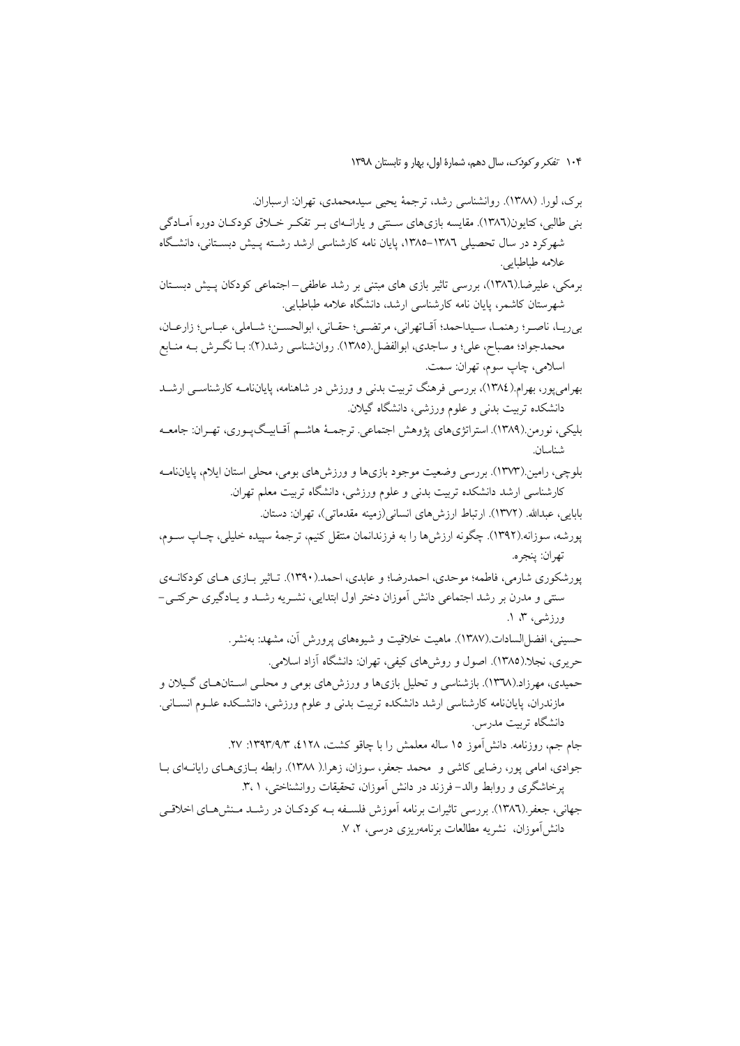برک، لورا. (١٣٨٨). روانشناسی رشد، ترجمهٔ یحیی سیدمحمدی، تهران: ارسباران. بنی طالبی، کتایون(۱۳۸٦). مقایسه بازیهای ســنتی و یارانــهای بــر تفکــر خــلاق کودکــان دوره آمــادگی شهر کرد در سال تحصیلی ۱۳۸٦-۱۳۸۵، پایان نامه کارشناسی ارشد رشته پـیش دبسـتانی، دانشـگاه علامه طباطبايي. برمکی، علیرضا.(١٣٨٦)، بررسی تاثیر بازی های مبتنی بر رشد عاطفی-اجتماعی کودکان پیش دبستان شهرستان کاشمر، پایان نامه کارشناسی ارشد، دانشگاه علامه طباطبایی. بي(يـا، ناصـر؛ رهنمـا، سـيداحمد؛ أقـاتهراني، مرتضـي؛ حقـاني، ابوالحسـن؛ شـاملي، عبـاس؛ زارعـان، محمدجواد؛ مصباح، علي؛ و ساجدي، ابوالفضل.(١٣٨٥). روانشناسي رشد(٢): بـا نگـرش بــه منــابع اسلامي، چاپ سوم، تهران: سمت. بهرامي يور، بهرام (١٣٨٤)، بررسي فرهنگ تربيت بدني و ورزش در شاهنامه، پاياننامــه كارشناســي ارشـــد دانشکده تربیت بدنی و علوم ورزشی، دانشگاه گیلان. بلیکم ،، نورمن (۱۳۸۹). استراتژیهای یژوهش اجتماعی. ترجمـهٔ هاشـم آقـابیـگپـوری، تهـران: جامعـه شناسان. بلوچی، رامین (۱۳۷۳). بررسی وضعیت موجود بازیها و ورزش های بومی، محلی استان ایلام، پایاننامـه کارشناسی ارشد دانشکده تربیت بدنی و علوم ورزشی، دانشگاه تربیت معلم تهران. بابايي، عبدالله. (١٣٧٢). ارتباط ارزش هاي انساني(زمينه مقدماتي)، تهران: دستان. پورشه، سوزانه.(۱۳۹۲). چگونه ارزشها را به فرزندانمان منتقل کنیم، ترجمهٔ سپیده خلیلی، چـاپ ســوم، تهران: پنجره. پورشکوری شارمی، فاطمه؛ موحدی، احمدرضا؛ و عابدی، احمد.(۱۳۹۰). تـاثیر بـازی هـای کودکانــهی سنتی و مدرن بر رشد اجتماعی دانش آموزان دختر اول ابتدایی، نشـریه رشـد و یـادگیری حرکتـی-ورزشی، ۳، ۱. حسینی، افضا السادات.(۱۳۸۷). ماهیت خلاقیت و شیوههای پرورش آن، مشهد: بهنشر. حریری، نجلا.(١٣٨٥). اصول و روش۵لی کیفی، تهران: دانشگاه آزاد اسلامی. حمیدی، مهرزاد.(۱۳۷۸). بازشناسی و تحلیل بازیها و ورزشهای بومی و محلـی اسـتانهـای گـیلان و مازندران، پایاننامه کارشناسی ارشد دانشکده تربیت بدنی و علوم ورزشی، دانشکده علـوم انســانی. دانشگاه تربیت مدرس. جام جم، روزنامه. دانش[موز ١٥ ساله معلمش را با چاقو كشت، ١٢٨٪، ١٣٩٣/٩/٣: ٢٧. جوادي، امامي يور، رضايي كاشي و محمد جعفر، سوزان، زهراً.( ١٣٨٨). رابطه بــازيهــاي رايانــهاي بــا یرخاشگری و روابط والد–فرزند در دانش آموزان، تحقیقات روانشناختی، ۳،۱. جهانی، جعفر (١٣٨٦). پررسی تاثیرات برنامه آموزش فلســفه بــه کودکــان در رشــد مــنش(هــای اخلاقــی

دانش[موزان، نشریه مطالعات برنامهریزی درسی، ۲، ۷.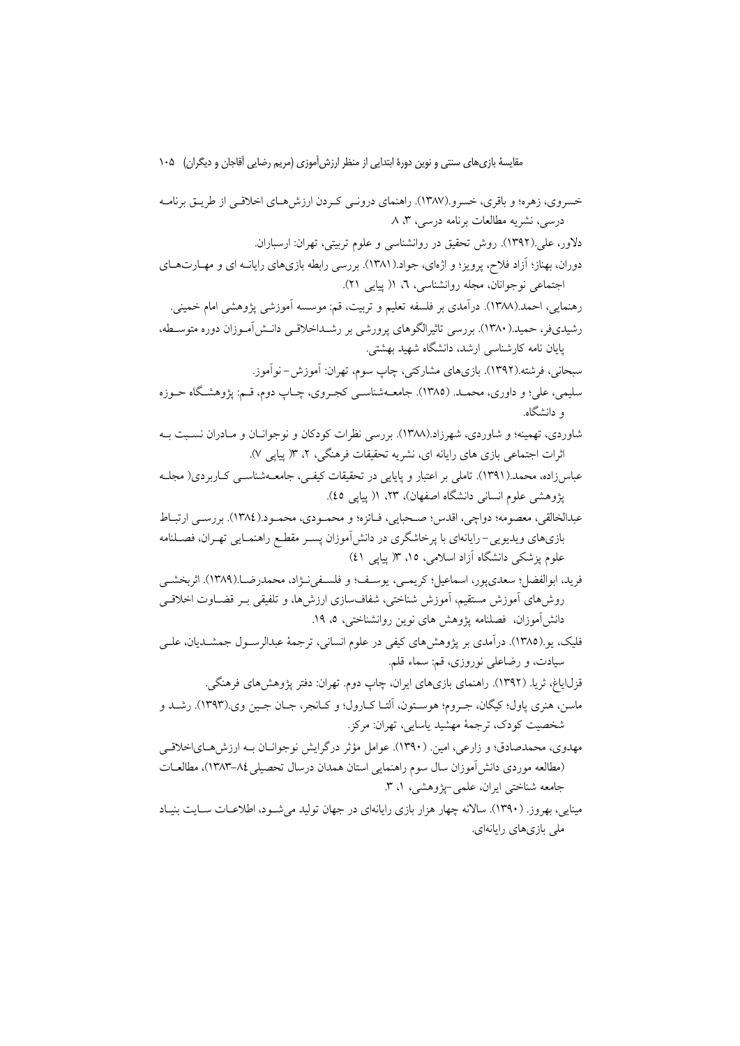خسروی، زهره؛ و باقری، خسرو (۱۳۸۷). راهنمای درونبی کبردن ارزش هبای اخلاقبی از طریبق برنامیه درسی، نشریه مطالعات برنامه درسی، ۳، ۸ دلاور، علي (١٣٩٢). روش تحقيق در روانشناسي و علوم تربيتي، تهران: ارسباران. دوران، بهناز؛ آزاد فلاح، پرویز؛ و اژهای، جواد.(۱۳۸۱). بررسی رابطه بازیهای رایانـه ای و مهـارتهـای اجتماعي نوجوانان، مجله روانشناسي، ٦، ١( ييايي ٢١). رهنمایی، احمد.(۱۳۸۸). درآمدی بر فلسفه تعلیم و تربیت، قم: موسسه آموزشی پژوهشی امام خمینی. رشیدیفر، حمید.(۱۳۸۰). بررسی تاثیرالگوهای یرورشی بر رشــداخلاقــی دانــش[مــوزان دوره متوســطه، پایان نامه کارشناسی ارشد، دانشگاه شهید بهشتی. سبحاني، فرشته.(١٣٩٢). بازيهاي مشاركتي، چاپ سوم، تهران: آموزش-نوآموز. سلیمی، علی؛ و داوری، محمــد. (١٣٨٥). جامعــهشناســی کجــروی، چــاپ دوم، قــم: پژوهشـگاه حــوزه ه دانشگاه. شاوردی، تهمینه؛ و شاوردی، شهرزاد.(۱۳۸۸). بررسی نظرات کودکان و نوجوانــان و مــادران نســبت بــه اثرات اجتماعی بازی های رایانه ای، نشریه تحقیقات فرهنگی، ۲، ۱۳ پیایی ۷). عباس زاده، محمد.(۱۳۹۱). تاملی بر اعتبار و پایایی در تحقیقات کیفی، جامعــهشناســی کــاربردی( مجلــه یژوهشی علوم انسانی دانشگاه اصفهان)، ۲۳، ۱(پیایی ٤٥). عبدالخالقي، معصومه؛ دواچي، اقدس؛ صـحبايي، فـائزه؛ و محمـودي، محمـود.(١٣٨٤). بررسـي ارتبـاط بازیهای ویدیویی–رایانهای با پرخاشگری در دانش آموزان پسـر مقطـع راهنمـایی تهـران، فصــلنامه علوم یزشکی دانشگاه آزاد اسلامی، ۱۵، ۱۳ پیایی ٤١) فريد، ابوالفضل؛ سعدي يور، اسماعيل؛ كريمـي، يوسـف؛ و فلسـفينـژاد، محمدرضــا.(١٣٨٩). اثربخشــي روش،های آموزش مستقیم، آموزش شناختی، شفافسازی ارزش،ا، و تلفیقی بـر قضـاوت اخلاقـی دانش[موزان، فصلنامه يژوهش هاي نوين روانشناختي، ٥، ١٩. فلیک، یو (۱۳۸۵). درآمدی بر پژوهشهای کیفی در علوم انسانی، ترجمهٔ عبدالرســول جمشــدیان، علــی سیادت، و رضاعلی نوروزی، قم: سماء قلم. قزل|یاغ، ثریا. (۱۳۹۲). راهنمای بازیهای ایران، چاپ دوم. تهران: دفتر پژوهشهای فرهنگی. ماسن، هنري پاول؛ کيگان، جـروم؛ هوسـتون، اَلتـا کـارول؛ و کـانجر، جـان جـين وي.(١٣٩٣). رشــد و شخصیت کودک، ترجمهٔ مهشید پاسایی، تهران: مرکز. مهدوی، محمدصادق؛ و زارعی، امین. (۱۳۹۰). عوامل مؤثر درگرایش نوجوانـان بـه ارزش،هـایاخلاقـی

(مطالعه موردي دانش[موزان سال سوم راهنمايي استان همدان درسال تحصيلي ٨٤–١٣٨٣)، مطالعــات جامعه شناختی ایران، علمی-پژوهشی، ۱، ۳. مینایی، بهروز. (۱۳۹۰). سالانه چهار هزار بازی رایانهای در جهان تولید می شـود، اطلاعـات سـایت بنیـاد

ملی بازیهای رایانهای.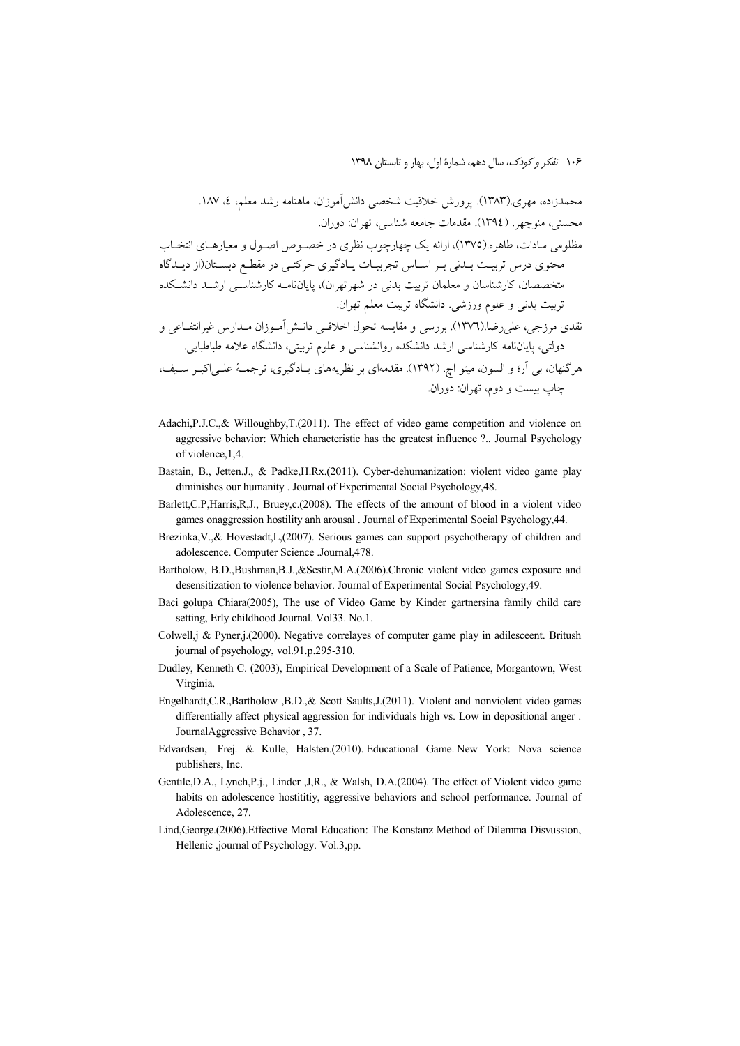- Adachi, P.J.C., & Willoughby, T.(2011). The effect of video game competition and violence on aggressive behavior: Which characteristic has the greatest influence ?.. Journal Psychology of violence, 1,4.
- Bastain, B., Jetten.J., & Padke, H.Rx. (2011). Cyber-dehumanization: violent video game play diminishes our humanity . Journal of Experimental Social Psychology, 48.
- Barlett, C.P, Harris, R, J., Bruey, c. (2008). The effects of the amount of blood in a violent video games onaggression hostility anh arousal . Journal of Experimental Social Psychology, 44.
- Brezinka, V., & Hovestadt, L. (2007). Serious games can support psychotherapy of children and adolescence. Computer Science .Journal, 478.
- Bartholow, B.D.,Bushman,B.J.,&Sestir,M.A.(2006).Chronic violent video games exposure and desensitization to violence behavior. Journal of Experimental Social Psychology, 49.
- Baci golupa Chiara(2005), The use of Video Game by Kinder gartnersina family child care setting, Erly childhood Journal. Vol33. No.1.
- Colwell, j & Pyner, j (2000). Negative correlayes of computer game play in adilesceent. Britush journal of psychology, vol.91.p.295-310.
- Dudley, Kenneth C. (2003), Empirical Development of a Scale of Patience, Morgantown, West Virginia.
- Engelhardt, C.R., Bartholow , B.D., & Scott Saults, J. (2011). Violent and nonviolent video games differentially affect physical aggression for individuals high vs. Low in depositional anger. JournalAggressive Behavior, 37.
- Edvardsen, Frej. & Kulle, Halsten.(2010). Educational Game New York: Nova science publishers, Inc.
- Gentile, D.A., Lynch, P.j., Linder , J, R., & Walsh, D.A.(2004). The effect of Violent video game habits on adolescence hostititiy, aggressive behaviors and school performance. Journal of Adolescence, 27.
- Lind, George. (2006). Effective Moral Education: The Konstanz Method of Dilemma Disvussion, Hellenic ,journal of Psychology. Vol.3,pp.